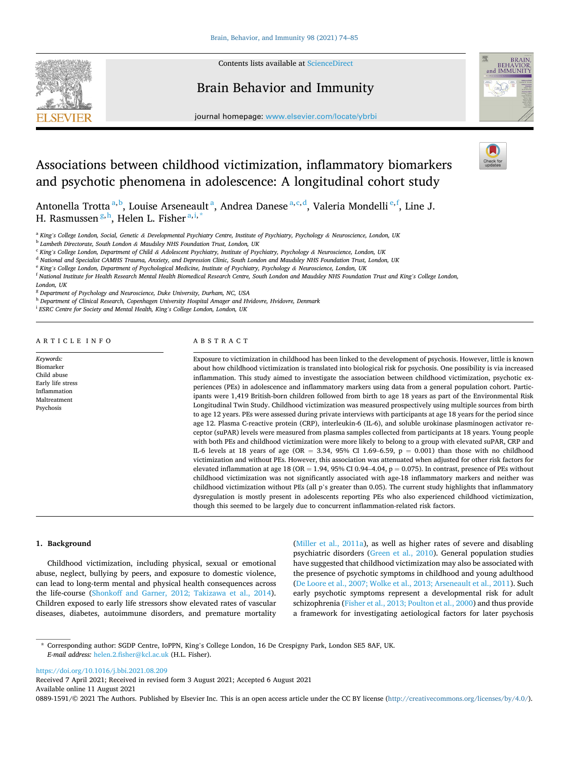

Contents lists available at [ScienceDirect](www.sciencedirect.com/science/journal/08891591)

# Brain Behavior and Immunity



journal homepage: [www.elsevier.com/locate/ybrbi](https://www.elsevier.com/locate/ybrbi)

# Associations between childhood victimization, inflammatory biomarkers and psychotic phenomena in adolescence: A longitudinal cohort study

Antonella Trotta<sup>a, b</sup>, Louise Arseneault<sup>a</sup>, Andrea Danese<sup>a, c, d</sup>, Valeria Mondelli<sup>e, f</sup>, Line J. H. Rasmussen <sup>g, h</sup>, Helen L. Fisher <sup>a, i, \*</sup>

<sup>a</sup> *King's College London, Social, Genetic & Developmental Psychiatry Centre, Institute of Psychiatry, Psychology & Neuroscience, London, UK* 

<sup>b</sup> *Lambeth Directorate, South London & Maudsley NHS Foundation Trust, London, UK* 

<sup>c</sup> *King's College London, Department of Child & Adolescent Psychiatry, Institute of Psychiatry, Psychology & Neuroscience, London, UK* 

<sup>d</sup> *National and Specialist CAMHS Trauma, Anxiety, and Depression Clinic, South London and Maudsley NHS Foundation Trust, London, UK* 

<sup>e</sup> *King's College London, Department of Psychological Medicine, Institute of Psychiatry, Psychology & Neuroscience, London, UK* 

<sup>f</sup> *National Institute for Health Research Mental Health Biomedical Research Centre, South London and Maudsley NHS Foundation Trust and King's College London,* 

*London, UK* 

<sup>g</sup> *Department of Psychology and Neuroscience, Duke University, Durham, NC, USA* 

<sup>h</sup> *Department of Clinical Research, Copenhagen University Hospital Amager and Hvidovre, Hvidovre, Denmark* 

<sup>i</sup> *ESRC Centre for Society and Mental Health, King's College London, London, UK* 

ARTICLE INFO

#### *Keywords:*  Biomarker Child abuse Early life stress Inflammation Maltreatment Psychosis

ABSTRACT

Exposure to victimization in childhood has been linked to the development of psychosis. However, little is known about how childhood victimization is translated into biological risk for psychosis. One possibility is via increased inflammation. This study aimed to investigate the association between childhood victimization, psychotic experiences (PEs) in adolescence and inflammatory markers using data from a general population cohort. Participants were 1,419 British-born children followed from birth to age 18 years as part of the Environmental Risk Longitudinal Twin Study. Childhood victimization was measured prospectively using multiple sources from birth to age 12 years. PEs were assessed during private interviews with participants at age 18 years for the period since age 12. Plasma C-reactive protein (CRP), interleukin-6 (IL-6), and soluble urokinase plasminogen activator receptor (suPAR) levels were measured from plasma samples collected from participants at 18 years. Young people with both PEs and childhood victimization were more likely to belong to a group with elevated suPAR, CRP and IL-6 levels at 18 years of age (OR = 3.34, 95% CI 1.69–6.59,  $p = 0.001$ ) than those with no childhood victimization and without PEs. However, this association was attenuated when adjusted for other risk factors for elevated inflammation at age 18 (OR = 1.94, 95% CI 0.94–4.04, p = 0.075). In contrast, presence of PEs without childhood victimization was not significantly associated with age-18 inflammatory markers and neither was childhood victimization without PEs (all p's greater than 0.05). The current study highlights that inflammatory dysregulation is mostly present in adolescents reporting PEs who also experienced childhood victimization, though this seemed to be largely due to concurrent inflammation-related risk factors.

# **1. Background**

Childhood victimization, including physical, sexual or emotional abuse, neglect, bullying by peers, and exposure to domestic violence, can lead to long-term mental and physical health consequences across the life-course [\(Shonkoff and Garner, 2012; Takizawa et al., 2014](#page-10-0)). Children exposed to early life stressors show elevated rates of vascular diseases, diabetes, autoimmune disorders, and premature mortality

([Miller et al., 2011a\)](#page-10-0), as well as higher rates of severe and disabling psychiatric disorders ([Green et al., 2010\)](#page-9-0). General population studies have suggested that childhood victimization may also be associated with the presence of psychotic symptoms in childhood and young adulthood ([De Loore et al., 2007; Wolke et al., 2013; Arseneault et al., 2011](#page-9-0)). Such early psychotic symptoms represent a developmental risk for adult schizophrenia [\(Fisher et al., 2013; Poulton et al., 2000](#page-9-0)) and thus provide a framework for investigating aetiological factors for later psychosis

\* Corresponding author: SGDP Centre, IoPPN, King's College London, 16 De Crespigny Park, London SE5 8AF, UK. *E-mail address:* [helen.2.fisher@kcl.ac.uk](mailto:helen.2.fisher@kcl.ac.uk) (H.L. Fisher).

<https://doi.org/10.1016/j.bbi.2021.08.209>

Available online 11 August 2021 Received 7 April 2021; Received in revised form 3 August 2021; Accepted 6 August 2021

0889-1591/© 2021 The Authors. Published by Elsevier Inc. This is an open access article under the CC BY license(<http://creativecommons.org/licenses/by/4.0/>).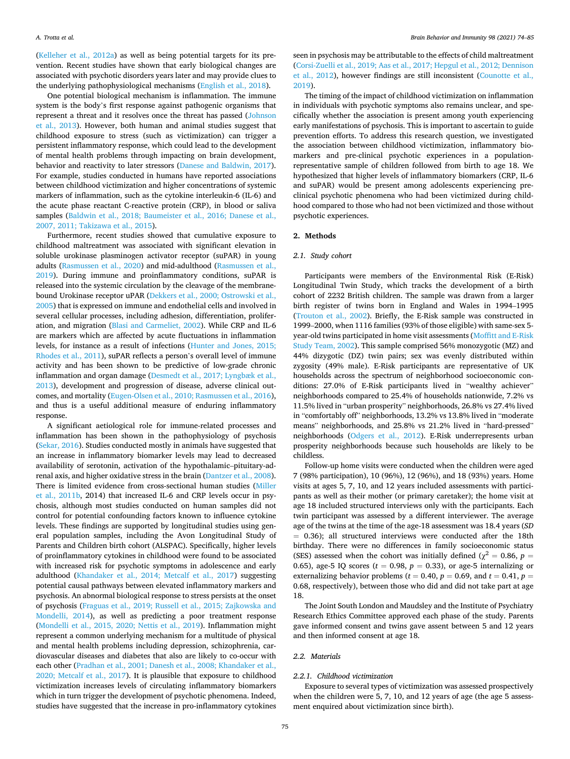([Kelleher et al., 2012a](#page-9-0)) as well as being potential targets for its prevention. Recent studies have shown that early biological changes are associated with psychotic disorders years later and may provide clues to the underlying pathophysiological mechanisms [\(English et al., 2018\)](#page-9-0).

One potential biological mechanism is inflammation. The immune system is the body's first response against pathogenic organisms that represent a threat and it resolves once the threat has passed [\(Johnson](#page-9-0)  [et al., 2013\)](#page-9-0). However, both human and animal studies suggest that childhood exposure to stress (such as victimization) can trigger a persistent inflammatory response, which could lead to the development of mental health problems through impacting on brain development, behavior and reactivity to later stressors ([Danese and Baldwin, 2017](#page-9-0)). For example, studies conducted in humans have reported associations between childhood victimization and higher concentrations of systemic markers of inflammation, such as the cytokine interleukin-6 (IL-6) and the acute phase reactant C-reactive protein (CRP), in blood or saliva samples ([Baldwin et al., 2018; Baumeister et al., 2016; Danese et al.,](#page-9-0)  [2007, 2011; Takizawa et al., 2015\)](#page-9-0).

Furthermore, recent studies showed that cumulative exposure to childhood maltreatment was associated with significant elevation in soluble urokinase plasminogen activator receptor (suPAR) in young adults ([Rasmussen et al., 2020](#page-10-0)) and mid-adulthood ([Rasmussen et al.,](#page-10-0)  [2019\)](#page-10-0). During immune and proinflammatory conditions, suPAR is released into the systemic circulation by the cleavage of the membranebound Urokinase receptor uPAR [\(Dekkers et al., 2000; Ostrowski et al.,](#page-9-0)  [2005\)](#page-9-0) that is expressed on immune and endothelial cells and involved in several cellular processes, including adhesion, differentiation, proliferation, and migration ([Blasi and Carmeliet, 2002\)](#page-9-0). While CRP and IL-6 are markers which are affected by acute fluctuations in inflammation levels, for instance as a result of infections [\(Hunter and Jones, 2015;](#page-9-0)  [Rhodes et al., 2011\)](#page-9-0), suPAR reflects a person's overall level of immune activity and has been shown to be predictive of low-grade chronic inflammation and organ damage ([Desmedt et al., 2017; Lyngbæk et al.,](#page-9-0)  [2013\)](#page-9-0), development and progression of disease, adverse clinical outcomes, and mortality ([Eugen-Olsen et al., 2010; Rasmussen et al., 2016](#page-9-0)), and thus is a useful additional measure of enduring inflammatory response.

A significant aetiological role for immune-related processes and inflammation has been shown in the pathophysiology of psychosis ([Sekar, 2016](#page-10-0)). Studies conducted mostly in animals have suggested that an increase in inflammatory biomarker levels may lead to decreased availability of serotonin, activation of the hypothalamic–pituitary-adrenal axis, and higher oxidative stress in the brain [\(Dantzer et al., 2008](#page-9-0)). There is limited evidence from cross-sectional human studies ([Miller](#page-10-0)  [et al., 2011b,](#page-10-0) 2014) that increased IL-6 and CRP levels occur in psychosis, although most studies conducted on human samples did not control for potential confounding factors known to influence cytokine levels. These findings are supported by longitudinal studies using general population samples, including the Avon Longitudinal Study of Parents and Children birth cohort (ALSPAC). Specifically, higher levels of proinflammatory cytokines in childhood were found to be associated with increased risk for psychotic symptoms in adolescence and early adulthood [\(Khandaker et al., 2014; Metcalf et al., 2017\)](#page-9-0) suggesting potential causal pathways between elevated inflammatory markers and psychosis. An abnormal biological response to stress persists at the onset of psychosis [\(Fraguas et al., 2019; Russell et al., 2015; Zajkowska and](#page-9-0)  [Mondelli, 2014](#page-9-0)), as well as predicting a poor treatment response ([Mondelli et al., 2015, 2020; Nettis et al., 2019](#page-10-0)). Inflammation might represent a common underlying mechanism for a multitude of physical and mental health problems including depression, schizophrenia, cardiovascular diseases and diabetes that also are likely to co-occur with each other ([Pradhan et al., 2001; Danesh et al., 2008; Khandaker et al.,](#page-10-0)  [2020; Metcalf et al., 2017\)](#page-10-0). It is plausible that exposure to childhood victimization increases levels of circulating inflammatory biomarkers which in turn trigger the development of psychotic phenomena. Indeed, studies have suggested that the increase in pro-inflammatory cytokines

seen in psychosis may be attributable to the effects of child maltreatment ([Corsi-Zuelli et al., 2019; Aas et al., 2017; Hepgul et al., 2012; Dennison](#page-9-0)  [et al., 2012\)](#page-9-0), however findings are still inconsistent ([Counotte et al.,](#page-9-0)  [2019\)](#page-9-0).

The timing of the impact of childhood victimization on inflammation in individuals with psychotic symptoms also remains unclear, and specifically whether the association is present among youth experiencing early manifestations of psychosis. This is important to ascertain to guide prevention efforts. To address this research question, we investigated the association between childhood victimization, inflammatory biomarkers and pre-clinical psychotic experiences in a populationrepresentative sample of children followed from birth to age 18. We hypothesized that higher levels of inflammatory biomarkers (CRP, IL-6 and suPAR) would be present among adolescents experiencing preclinical psychotic phenomena who had been victimized during childhood compared to those who had not been victimized and those without psychotic experiences.

# **2. Methods**

## *2.1. Study cohort*

Participants were members of the Environmental Risk (E-Risk) Longitudinal Twin Study, which tracks the development of a birth cohort of 2232 British children. The sample was drawn from a larger birth register of twins born in England and Wales in 1994–1995 ([Trouton et al., 2002\)](#page-10-0). Briefly, the E-Risk sample was constructed in 1999–2000, when 1116 families (93% of those eligible) with same-sex 5 year-old twins participated in home visit assessments ([Moffitt and E-Risk](#page-10-0)  [Study Team, 2002](#page-10-0)). This sample comprised 56% monozygotic (MZ) and 44% dizygotic (DZ) twin pairs; sex was evenly distributed within zygosity (49% male). E-Risk participants are representative of UK households across the spectrum of neighborhood socioeconomic conditions: 27.0% of E-Risk participants lived in "wealthy achiever" neighborhoods compared to 25.4% of households nationwide, 7.2% vs 11.5% lived in "urban prosperity" neighborhoods, 26.8% vs 27.4% lived in "comfortably off" neighborhoods, 13.2% vs 13.8% lived in "moderate means" neighborhoods, and 25.8% vs 21.2% lived in "hard-pressed" neighborhoods [\(Odgers et al., 2012\)](#page-10-0). E-Risk underrepresents urban prosperity neighborhoods because such households are likely to be childless.

Follow-up home visits were conducted when the children were aged 7 (98% participation), 10 (96%), 12 (96%), and 18 (93%) years. Home visits at ages 5, 7, 10, and 12 years included assessments with participants as well as their mother (or primary caretaker); the home visit at age 18 included structured interviews only with the participants. Each twin participant was assessed by a different interviewer. The average age of the twins at the time of the age-18 assessment was 18.4 years (*SD*  = 0.36); all structured interviews were conducted after the 18th birthday. There were no differences in family socioeconomic status (SES) assessed when the cohort was initially defined ( $\chi^2 = 0.86$ ,  $p =$ 0.65), age-5 IQ scores ( $t = 0.98$ ,  $p = 0.33$ ), or age-5 internalizing or externalizing behavior problems ( $t = 0.40$ ,  $p = 0.69$ , and  $t = 0.41$ ,  $p =$ 0.68, respectively), between those who did and did not take part at age 18.

The Joint South London and Maudsley and the Institute of Psychiatry Research Ethics Committee approved each phase of the study. Parents gave informed consent and twins gave assent between 5 and 12 years and then informed consent at age 18.

# *2.2. Materials*

#### *2.2.1. Childhood victimization*

Exposure to several types of victimization was assessed prospectively when the children were 5, 7, 10, and 12 years of age (the age 5 assessment enquired about victimization since birth).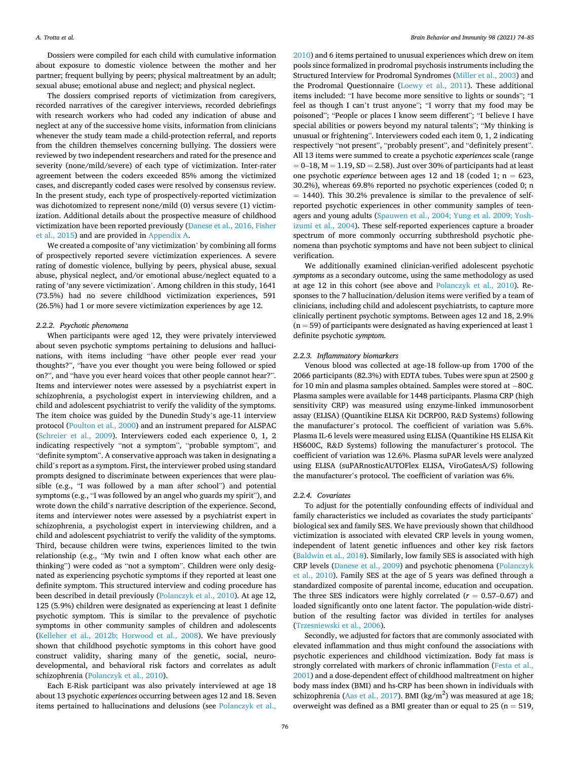## *A. Trotta et al.*

Dossiers were compiled for each child with cumulative information about exposure to domestic violence between the mother and her partner; frequent bullying by peers; physical maltreatment by an adult; sexual abuse; emotional abuse and neglect; and physical neglect.

The dossiers comprised reports of victimization from caregivers, recorded narratives of the caregiver interviews, recorded debriefings with research workers who had coded any indication of abuse and neglect at any of the successive home visits, information from clinicians whenever the study team made a child-protection referral, and reports from the children themselves concerning bullying. The dossiers were reviewed by two independent researchers and rated for the presence and severity (none/mild/severe) of each type of victimization. Inter-rater agreement between the coders exceeded 85% among the victimized cases, and discrepantly coded cases were resolved by consensus review. In the present study, each type of prospectively-reported victimization was dichotomized to represent none/mild (0) versus severe (1) victimization. Additional details about the prospective measure of childhood victimization have been reported previously ([Danese et al., 2016, Fisher](#page-9-0)  [et al., 2015\)](#page-9-0) and are provided in Appendix A.

We created a composite of 'any victimization' by combining all forms of prospectively reported severe victimization experiences. A severe rating of domestic violence, bullying by peers, physical abuse, sexual abuse, physical neglect, and/or emotional abuse/neglect equated to a rating of 'any severe victimization'. Among children in this study, 1641 (73.5%) had no severe childhood victimization experiences, 591 (26.5%) had 1 or more severe victimization experiences by age 12.

#### *2.2.2. Psychotic phenomena*

When participants were aged 12, they were privately interviewed about seven psychotic symptoms pertaining to delusions and hallucinations, with items including "have other people ever read your thoughts?", "have you ever thought you were being followed or spied on?", and "have you ever heard voices that other people cannot hear?". Items and interviewer notes were assessed by a psychiatrist expert in schizophrenia, a psychologist expert in interviewing children, and a child and adolescent psychiatrist to verify the validity of the symptoms. The item choice was guided by the Dunedin Study's age-11 interview protocol [\(Poulton et al., 2000\)](#page-10-0) and an instrument prepared for ALSPAC ([Schreier et al., 2009](#page-10-0)). Interviewers coded each experience 0, 1, 2 indicating respectively "not a symptom", "probable symptom", and "definite symptom". A conservative approach was taken in designating a child's report as a symptom. First, the interviewer probed using standard prompts designed to discriminate between experiences that were plausible (e.g., "I was followed by a man after school") and potential symptoms (e.g., "I was followed by an angel who guards my spirit"), and wrote down the child's narrative description of the experience. Second, items and interviewer notes were assessed by a psychiatrist expert in schizophrenia, a psychologist expert in interviewing children, and a child and adolescent psychiatrist to verify the validity of the symptoms. Third, because children were twins, experiences limited to the twin relationship (e.g., "My twin and I often know what each other are thinking") were coded as "not a symptom". Children were only designated as experiencing psychotic symptoms if they reported at least one definite symptom. This structured interview and coding procedure has been described in detail previously ([Polanczyk et al., 2010\)](#page-10-0). At age 12, 125 (5.9%) children were designated as experiencing at least 1 definite psychotic symptom. This is similar to the prevalence of psychotic symptoms in other community samples of children and adolescents ([Kelleher et al., 2012b; Horwood et al., 2008](#page-9-0)). We have previously shown that childhood psychotic symptoms in this cohort have good construct validity, sharing many of the genetic, social, neurodevelopmental, and behavioral risk factors and correlates as adult schizophrenia ([Polanczyk et al., 2010](#page-10-0)).

Each E-Risk participant was also privately interviewed at age 18 about 13 psychotic *experiences* occurring between ages 12 and 18. Seven items pertained to hallucinations and delusions (see [Polanczyk et al.,](#page-10-0) 

[2010\)](#page-10-0) and 6 items pertained to unusual experiences which drew on item pools since formalized in prodromal psychosis instruments including the Structured Interview for Prodromal Syndromes ([Miller et al., 2003](#page-10-0)) and the Prodromal Questionnaire ([Loewy et al., 2011\)](#page-10-0). These additional items included: "I have become more sensitive to lights or sounds"; "I feel as though I can't trust anyone"; "I worry that my food may be poisoned"; "People or places I know seem different"; "I believe I have special abilities or powers beyond my natural talents"; "My thinking is unusual or frightening". Interviewers coded each item 0, 1, 2 indicating respectively "not present", "probably present", and "definitely present". All 13 items were summed to create a psychotic *experiences* scale (range  $= 0-18$ ,  $M = 1.19$ ,  $SD = 2.58$ ). Just over 30% of participants had at least one psychotic *experience* between ages 12 and 18 (coded 1; n = 623, 30.2%), whereas 69.8% reported no psychotic experiences (coded 0; n  $= 1440$ ). This 30.2% prevalence is similar to the prevalence of selfreported psychotic experiences in other community samples of teenagers and young adults [\(Spauwen et al., 2004; Yung et al. 2009; Yosh](#page-10-0)[izumi et al., 2004\)](#page-10-0). These self-reported experiences capture a broader spectrum of more commonly occurring subthreshold psychotic phenomena than psychotic symptoms and have not been subject to clinical verification.

We additionally examined clinician-verified adolescent psychotic *symptoms* as a secondary outcome, using the same methodology as used at age 12 in this cohort (see above and [Polanczyk et al., 2010](#page-10-0)). Responses to the 7 hallucination/delusion items were verified by a team of clinicians, including child and adolescent psychiatrists, to capture more clinically pertinent psychotic symptoms. Between ages 12 and 18, 2.9%  $(n = 59)$  of participants were designated as having experienced at least 1 definite psychotic *symptom*.

# *2.2.3. Inflammatory biomarkers*

Venous blood was collected at age-18 follow-up from 1700 of the 2066 participants (82.3%) with EDTA tubes. Tubes were spun at 2500 g for 10 min and plasma samples obtained. Samples were stored at − 80C. Plasma samples were available for 1448 participants. Plasma CRP (high sensitivity CRP) was measured using enzyme-linked immunosorbent assay (ELISA) (Quantikine ELISA Kit DCRP00, R&D Systems) following the manufacturer's protocol. The coefficient of variation was 5.6%. Plasma IL-6 levels were measured using ELISA (Quantikine HS ELISA Kit HS600C, R&D Systems) following the manufacturer's protocol. The coefficient of variation was 12.6%. Plasma suPAR levels were analyzed using ELISA (suPARnosticAUTOFlex ELISA, ViroGatesA/S) following the manufacturer's protocol. The coefficient of variation was 6%.

# *2.2.4. Covariates*

To adjust for the potentially confounding effects of individual and family characteristics we included as covariates the study participants' biological sex and family SES. We have previously shown that childhood victimization is associated with elevated CRP levels in young women, independent of latent genetic influences and other key risk factors ([Baldwin et al., 2018](#page-9-0)). Similarly, low family SES is associated with high CRP levels ([Danese et al., 2009\)](#page-9-0) and psychotic phenomena ([Polanczyk](#page-10-0)  [et al., 2010\)](#page-10-0). Family SES at the age of 5 years was defined through a standardized composite of parental income, education and occupation. The three SES indicators were highly correlated  $(r = 0.57-0.67)$  and loaded significantly onto one latent factor. The population-wide distribution of the resulting factor was divided in tertiles for analyses ([Trzesniewski et al., 2006\)](#page-10-0).

Secondly, we adjusted for factors that are commonly associated with elevated inflammation and thus might confound the associations with psychotic experiences and childhood victimization. Body fat mass is strongly correlated with markers of chronic inflammation ([Festa et al.,](#page-9-0)  [2001\)](#page-9-0) and a dose-dependent effect of childhood maltreatment on higher body mass index (BMI) and hs-CRP has been shown in individuals with schizophrenia ([Aas et al., 2017\)](#page-9-0). BMI (kg/m<sup>2</sup>) was measured at age 18; overweight was defined as a BMI greater than or equal to 25 ( $n = 519$ ,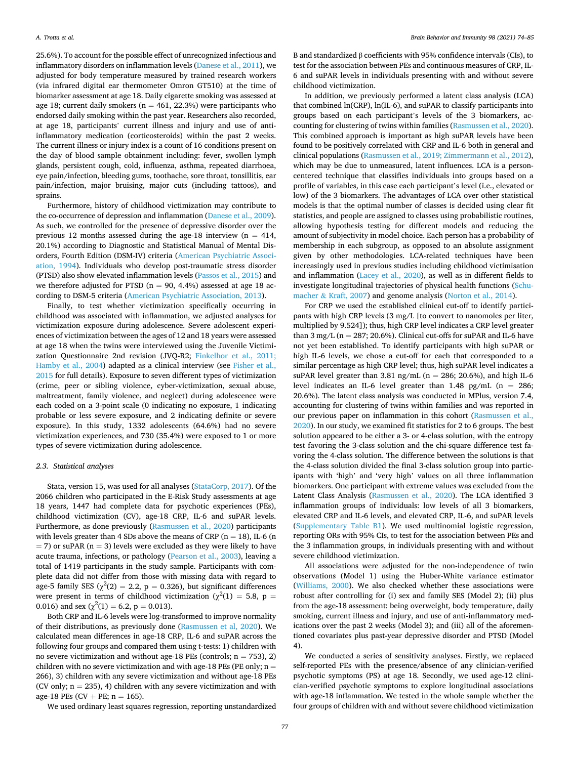25.6%). To account for the possible effect of unrecognized infectious and inflammatory disorders on inflammation levels ([Danese et al., 2011\)](#page-9-0), we adjusted for body temperature measured by trained research workers (via infrared digital ear thermometer Omron GT510) at the time of biomarker assessment at age 18. Daily cigarette smoking was assessed at age 18; current daily smokers ( $n = 461, 22.3%$ ) were participants who endorsed daily smoking within the past year. Researchers also recorded, at age 18, participants' current illness and injury and use of antiinflammatory medication (corticosteroids) within the past 2 weeks. The current illness or injury index is a count of 16 conditions present on the day of blood sample obtainment including: fever, swollen lymph glands, persistent cough, cold, influenza, asthma, repeated diarrhoea, eye pain/infection, bleeding gums, toothache, sore throat, tonsillitis, ear pain/infection, major bruising, major cuts (including tattoos), and sprains.

Furthermore, history of childhood victimization may contribute to the co-occurrence of depression and inflammation [\(Danese et al., 2009](#page-9-0)). As such, we controlled for the presence of depressive disorder over the previous 12 months assessed during the age-18 interview ( $n = 414$ , 20.1%) according to Diagnostic and Statistical Manual of Mental Disorders, Fourth Edition (DSM-IV) criteria ([American Psychiatric Associ](#page-9-0)[ation, 1994\)](#page-9-0). Individuals who develop post-traumatic stress disorder (PTSD) also show elevated inflammation levels ([Passos et al., 2015\)](#page-10-0) and we therefore adjusted for PTSD ( $n = 90, 4.4%$ ) assessed at age 18 according to DSM-5 criteria [\(American Psychiatric Association, 2013](#page-9-0)).

Finally, to test whether victimization specifically occurring in childhood was associated with inflammation, we adjusted analyses for victimization exposure during adolescence. Severe adolescent experiences of victimization between the ages of 12 and 18 years were assessed at age 18 when the twins were interviewed using the Juvenile Victimization Questionnaire 2nd revision (JVQ-R2; [Finkelhor et al., 2011;](#page-9-0)  [Hamby et al., 2004](#page-9-0)) adapted as a clinical interview (see [Fisher et al.,](#page-9-0)  [2015](#page-9-0) for full details). Exposure to seven different types of victimization (crime, peer or sibling violence, cyber-victimization, sexual abuse, maltreatment, family violence, and neglect) during adolescence were each coded on a 3-point scale (0 indicating no exposure, 1 indicating probable or less severe exposure, and 2 indicating definite or severe exposure). In this study, 1332 adolescents (64.6%) had no severe victimization experiences, and 730 (35.4%) were exposed to 1 or more types of severe victimization during adolescence.

# *2.3. Statistical analyses*

Stata, version 15, was used for all analyses [\(StataCorp, 2017\)](#page-10-0). Of the 2066 children who participated in the E-Risk Study assessments at age 18 years, 1447 had complete data for psychotic experiences (PEs), childhood victimization (CV), age-18 CRP, IL-6 and suPAR levels. Furthermore, as done previously [\(Rasmussen et al., 2020](#page-10-0)) participants with levels greater than 4 SDs above the means of CRP ( $n = 18$ ), IL-6 (n  $=$  7) or suPAR (n  $=$  3) levels were excluded as they were likely to have acute trauma, infections, or pathology [\(Pearson et al., 2003\)](#page-10-0), leaving a total of 1419 participants in the study sample. Participants with complete data did not differ from those with missing data with regard to age-5 family SES ( $\chi^2(2) = 2.2$ ,  $p = 0.326$ ), but significant differences were present in terms of childhood victimization ( $\chi^2(1) = 5.8$ , p = 0.016) and sex ( $\chi^2(1) = 6.2$ , p = 0.013).

Both CRP and IL-6 levels were log-transformed to improve normality of their distributions, as previously done [\(Rasmussen et al, 2020](#page-10-0)). We calculated mean differences in age-18 CRP, IL-6 and suPAR across the following four groups and compared them using t-tests: 1) children with no severe victimization and without age-18 PEs (controls;  $n = 753$ ), 2) children with no severe victimization and with age-18 PEs (PE only;  $n =$ 266), 3) children with any severe victimization and without age-18 PEs (CV only;  $n = 235$ ), 4) children with any severe victimization and with age-18 PEs (CV + PE;  $n = 165$ ).

We used ordinary least squares regression, reporting unstandardized

B and standardized β coefficients with 95% confidence intervals (CIs), to test for the association between PEs and continuous measures of CRP, IL-6 and suPAR levels in individuals presenting with and without severe childhood victimization.

In addition, we previously performed a latent class analysis (LCA) that combined ln(CRP), ln(IL-6), and suPAR to classify participants into groups based on each participant's levels of the 3 biomarkers, accounting for clustering of twins within families [\(Rasmussen et al., 2020](#page-10-0)). This combined approach is important as high suPAR levels have been found to be positively correlated with CRP and IL-6 both in general and clinical populations [\(Rasmussen et al., 2019; Zimmermann et al., 2012](#page-10-0)), which may be due to unmeasured, latent influences. LCA is a personcentered technique that classifies individuals into groups based on a profile of variables, in this case each participant's level (i.e., elevated or low) of the 3 biomarkers. The advantages of LCA over other statistical models is that the optimal number of classes is decided using clear fit statistics, and people are assigned to classes using probabilistic routines, allowing hypothesis testing for different models and reducing the amount of subjectivity in model choice. Each person has a probability of membership in each subgroup, as opposed to an absolute assignment given by other methodologies. LCA-related techniques have been increasingly used in previous studies including childhood victimisation and inflammation ([Lacey et al., 2020\)](#page-10-0), as well as in different fields to investigate longitudinal trajectories of physical health functions [\(Schu](#page-10-0)macher & [Kraft, 2007\)](#page-10-0) and genome analysis [\(Norton et al., 2014](#page-10-0)).

For CRP we used the established clinical cut-off to identify participants with high CRP levels (3 mg/L [to convert to nanomoles per liter, multiplied by 9.524]); thus, high CRP level indicates a CRP level greater than  $3 \text{ mg/L}$  (n = 287; 20.6%). Clinical cut-offs for suPAR and IL-6 have not yet been established. To identify participants with high suPAR or high IL-6 levels, we chose a cut-off for each that corresponded to a similar percentage as high CRP level; thus, high suPAR level indicates a suPAR level greater than 3.81 ng/mL ( $n = 286$ ; 20.6%), and high IL-6 level indicates an IL-6 level greater than  $1.48$  pg/mL (n = 286; 20.6%). The latent class analysis was conducted in MPlus, version 7.4, accounting for clustering of twins within families and was reported in our previous paper on inflammation in this cohort [\(Rasmussen et al.,](#page-10-0)  [2020\)](#page-10-0). In our study, we examined fit statistics for 2 to 6 groups. The best solution appeared to be either a 3- or 4-class solution, with the entropy test favoring the 3-class solution and the chi-square difference test favoring the 4-class solution. The difference between the solutions is that the 4-class solution divided the final 3-class solution group into participants with 'high' and 'very high' values on all three inflammation biomarkers. One participant with extreme values was excluded from the Latent Class Analysis ([Rasmussen et al., 2020\)](#page-10-0). The LCA identified 3 inflammation groups of individuals: low levels of all 3 biomarkers, elevated CRP and IL-6 levels, and elevated CRP, IL-6, and suPAR levels (Supplementary Table B1). We used multinomial logistic regression, reporting ORs with 95% CIs, to test for the association between PEs and the 3 inflammation groups, in individuals presenting with and without severe childhood victimization.

All associations were adjusted for the non-independence of twin observations (Model 1) using the Huber-White variance estimator ([Williams, 2000\)](#page-10-0). We also checked whether these associations were robust after controlling for (i) sex and family SES (Model 2); (ii) plus from the age-18 assessment: being overweight, body temperature, daily smoking, current illness and injury, and use of anti-inflammatory medications over the past 2 weeks (Model 3); and (iii) all of the aforementioned covariates plus past-year depressive disorder and PTSD (Model 4).

We conducted a series of sensitivity analyses. Firstly, we replaced self-reported PEs with the presence/absence of any clinician-verified psychotic symptoms (PS) at age 18. Secondly, we used age-12 clinician-verified psychotic symptoms to explore longitudinal associations with age-18 inflammation. We tested in the whole sample whether the four groups of children with and without severe childhood victimization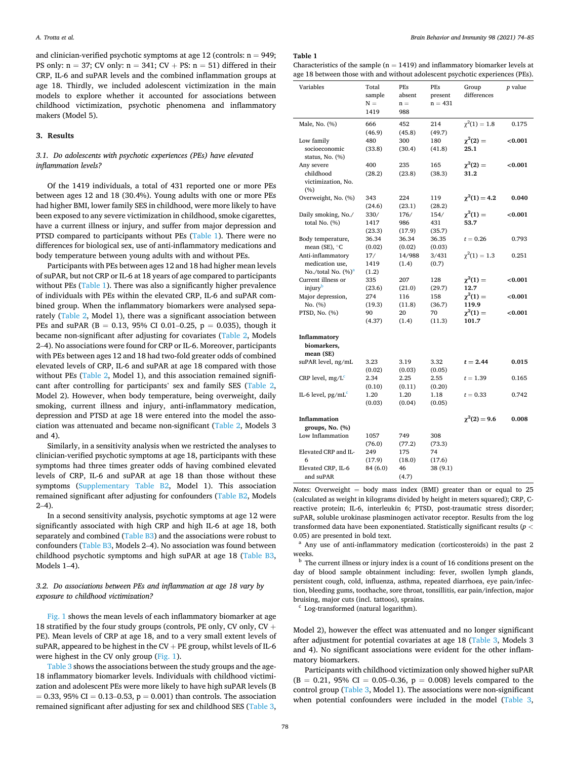and clinician-verified psychotic symptoms at age 12 (controls:  $n = 949$ ; PS only:  $n = 37$ ; CV only:  $n = 341$ ; CV + PS:  $n = 51$ ) differed in their CRP, IL-6 and suPAR levels and the combined inflammation groups at age 18. Thirdly, we included adolescent victimization in the main models to explore whether it accounted for associations between childhood victimization, psychotic phenomena and inflammatory makers (Model 5).

## **3. Results**

# *3.1. Do adolescents with psychotic experiences (PEs) have elevated inflammation levels?*

Of the 1419 individuals, a total of 431 reported one or more PEs between ages 12 and 18 (30.4%). Young adults with one or more PEs had higher BMI, lower family SES in childhood, were more likely to have been exposed to any severe victimization in childhood, smoke cigarettes, have a current illness or injury, and suffer from major depression and PTSD compared to participants without PEs (Table 1). There were no differences for biological sex, use of anti-inflammatory medications and body temperature between young adults with and without PEs.

Participants with PEs between ages 12 and 18 had higher mean levels of suPAR, but not CRP or IL-6 at 18 years of age compared to participants without PEs (Table 1). There was also a significantly higher prevalence of individuals with PEs within the elevated CRP, IL-6 and suPAR combined group. When the inflammatory biomarkers were analysed separately ([Table 2,](#page-5-0) Model 1), there was a significant association between PEs and suPAR (B = 0.13, 95% CI 0.01–0.25, p = 0.035), though it became non-significant after adjusting for covariates ([Table 2](#page-5-0), Models 2–4). No associations were found for CRP or IL-6. Moreover, participants with PEs between ages 12 and 18 had two-fold greater odds of combined elevated levels of CRP, IL-6 and suPAR at age 18 compared with those without PEs [\(Table 2,](#page-5-0) Model 1), and this association remained significant after controlling for participants' sex and family SES ([Table 2](#page-5-0), Model 2). However, when body temperature, being overweight, daily smoking, current illness and injury, anti-inflammatory medication, depression and PTSD at age 18 were entered into the model the association was attenuated and became non-significant ([Table 2](#page-5-0), Models 3 and 4).

Similarly, in a sensitivity analysis when we restricted the analyses to clinician-verified psychotic symptoms at age 18, participants with these symptoms had three times greater odds of having combined elevated levels of CRP, IL-6 and suPAR at age 18 than those without these symptoms (Supplementary Table B2, Model 1). This association remained significant after adjusting for confounders (Table B2, Models  $2-4$ ).

In a second sensitivity analysis, psychotic symptoms at age 12 were significantly associated with high CRP and high IL-6 at age 18, both separately and combined (Table B3) and the associations were robust to confounders (Table B3, Models 2–4). No association was found between childhood psychotic symptoms and high suPAR at age 18 (Table B3, Models 1–4).

# *3.2. Do associations between PEs and inflammation at age 18 vary by exposure to childhood victimization?*

[Fig. 1](#page-6-0) shows the mean levels of each inflammatory biomarker at age 18 stratified by the four study groups (controls, PE only, CV only, CV + PE). Mean levels of CRP at age 18, and to a very small extent levels of suPAR, appeared to be highest in the  $CV + PE$  group, whilst levels of IL-6 were highest in the CV only group ([Fig. 1\)](#page-6-0).

[Table 3](#page-7-0) shows the associations between the study groups and the age-18 inflammatory biomarker levels. Individuals with childhood victimization and adolescent PEs were more likely to have high suPAR levels (B  $= 0.33, 95\% \text{ CI} = 0.13 - 0.53, p = 0.001)$  than controls. The association remained significant after adjusting for sex and childhood SES [\(Table 3](#page-7-0),

**Table 1** 

Characteristics of the sample ( $n = 1419$ ) and inflammatory biomarker levels at age 18 between those with and without adolescent psychotic experiences (PEs).

| Variables                                | Total<br>sample<br>$N =$<br>1419 | PEs<br>absent<br>$n =$<br>988 | PEs<br>present<br>$n = 431$ | Group<br>differences | p value |
|------------------------------------------|----------------------------------|-------------------------------|-----------------------------|----------------------|---------|
|                                          |                                  |                               |                             |                      |         |
| Male, No. (%)                            | 666                              | 452                           | 214                         | $\chi^2(1) = 1.8$    | 0.175   |
|                                          | (46.9)                           | (45.8)                        | (49.7)                      |                      |         |
| Low family                               | 480                              | 300                           | 180                         | $\chi^2(2) =$        | < 0.001 |
| socioeconomic                            | (33.8)                           | (30.4)                        | (41.8)                      | 25.1                 |         |
| status, No. (%)                          |                                  |                               |                             |                      |         |
| Any severe                               | 400                              | 235                           | 165                         | $\chi^2(2) =$        | < 0.001 |
| childhood                                | (28.2)                           | (23.8)                        | (38.3)                      | 31.2                 |         |
| victimization, No.                       |                                  |                               |                             |                      |         |
|                                          |                                  |                               |                             |                      |         |
| (%)                                      |                                  |                               |                             |                      |         |
| Overweight, No. (%)                      | 343                              | 224                           | 119                         | $\chi^2(1) = 4.2$    | 0.040   |
|                                          | (24.6)                           | (23.1)                        | (28.2)                      |                      |         |
| Daily smoking, No./                      | 330/                             | 176/                          | 154/                        | $\chi^2(1) =$        | < 0.001 |
| total No. (%)                            | 1417                             | 986                           | 431                         | 53.7                 |         |
|                                          | (23.3)                           | (17.9)                        | (35.7)                      |                      |         |
| Body temperature,                        | 36.34                            | 36.34                         | 36.35                       | $t = 0.26$           | 0.793   |
| mean (SE), $^{\circ}$ C                  | (0.02)                           | (0.02)                        | (0.03)                      |                      |         |
| Anti-inflammatory                        | 17/                              | 14/988                        | 3/431                       | $\chi^2(1) = 1.3$    | 0.251   |
| medication use,                          | 1419                             | (1.4)                         | (0.7)                       |                      |         |
| No./total No. (%) <sup>a</sup>           | (1.2)                            |                               |                             |                      |         |
| Current illness or                       | 335                              | 207                           | 128                         | $\chi^2(1) =$        | < 0.001 |
| injury <sup>b</sup>                      | (23.6)                           |                               |                             | 12.7                 |         |
|                                          |                                  | (21.0)                        | (29.7)                      |                      |         |
| Major depression,                        | 274                              | 116                           | 158                         | $\chi^2(1) =$        | < 0.001 |
| No. (%)                                  | (19.3)                           | (11.8)                        | (36.7)                      | 119.9                |         |
| PTSD, No. (%)                            | 90                               | 20                            | 70                          | $\chi^2(1) =$        | < 0.001 |
|                                          | (4.37)                           | (1.4)                         | (11.3)                      | 101.7                |         |
| Inflammatory<br>biomarkers,<br>mean (SE) |                                  |                               |                             |                      |         |
| suPAR level, ng/mL                       | 3.23                             | 3.19                          | 3.32                        | $t = 2.44$           | 0.015   |
|                                          | (0.02)                           | (0.03)                        | (0.05)                      |                      |         |
| CRP level, $mg/Lc$                       | 2.34                             | 2.25                          | 2.55                        | $t = 1.39$           | 0.165   |
|                                          | (0.10)                           | (0.11)                        | (0.20)                      |                      |         |
|                                          |                                  | 1.20                          |                             | $t = 0.33$           | 0.742   |
| IL-6 level, $pg/mLc$                     | 1.20                             |                               | 1.18                        |                      |         |
|                                          | (0.03)                           | (0.04)                        | (0.05)                      |                      |         |
| Inflammation                             |                                  |                               |                             | $\chi^2(2) = 9.6$    | 0.008   |
| groups, No. (%)                          |                                  |                               |                             |                      |         |
| Low Inflammation                         | 1057                             | 749                           | 308                         |                      |         |
|                                          | (76.0)                           | (77.2)                        | (73.3)                      |                      |         |
| Elevated CRP and IL-                     | 249                              | 175                           | 74                          |                      |         |
| 6                                        | (17.9)                           | (18.0)                        | (17.6)                      |                      |         |
| Elevated CRP, IL-6<br>and suPAR          | 84 (6.0)                         | 46<br>(4.7)                   | 38 (9.1)                    |                      |         |

*Notes*: Overweight = body mass index (BMI) greater than or equal to 25 (calculated as weight in kilograms divided by height in meters squared); CRP, Creactive protein; IL-6, interleukin 6; PTSD, post-traumatic stress disorder; suPAR, soluble urokinase plasminogen activator receptor. Results from the log transformed data have been exponentiated. Statistically significant results (*p <*

0.05) are presented in bold text.<br><sup>a</sup> Any use of anti-inflammatory medication (corticosteroids) in the past 2 weeks.

 $<sup>b</sup>$  The current illness or injury index is a count of 16 conditions present on the</sup> day of blood sample obtainment including: fever, swollen lymph glands, persistent cough, cold, influenza, asthma, repeated diarrhoea, eye pain/infection, bleeding gums, toothache, sore throat, tonsillitis, ear pain/infection, major bruising, major cuts (incl. tattoos), sprains.<br><sup>c</sup> Log-transformed (natural logarithm).

Model 2), however the effect was attenuated and no longer significant after adjustment for potential covariates at age 18 [\(Table 3,](#page-7-0) Models 3 and 4). No significant associations were evident for the other inflammatory biomarkers.

Participants with childhood victimization only showed higher suPAR  $(B = 0.21, 95\% \text{ CI} = 0.05{\text -}0.36, p = 0.008)$  levels compared to the control group ([Table 3,](#page-7-0) Model 1). The associations were non-significant when potential confounders were included in the model ([Table 3](#page-7-0),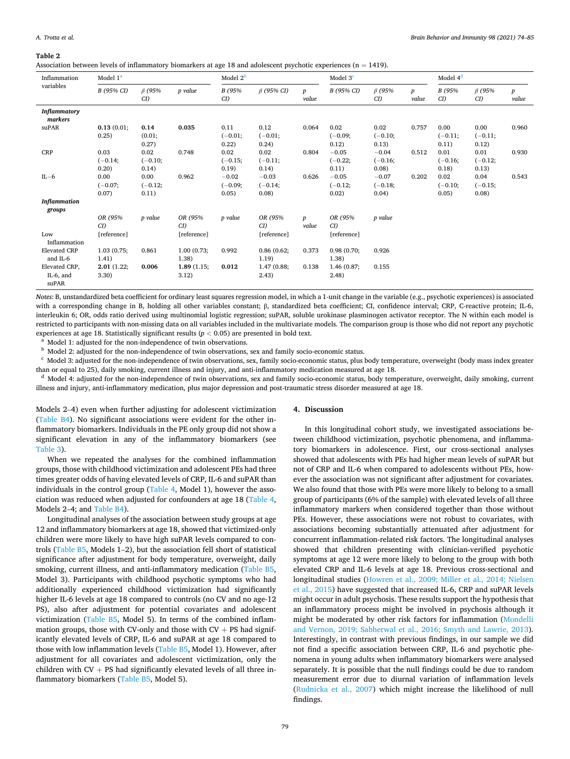#### <span id="page-5-0"></span>**Table 2**

| Association between levels of inflammatory biomarkers at age 18 and adolescent psychotic experiences ( $n = 1419$ ). |  |  |
|----------------------------------------------------------------------------------------------------------------------|--|--|
|----------------------------------------------------------------------------------------------------------------------|--|--|

| Inflammation<br>variables              | Model 1 <sup>a</sup>       |                            |                     | Model $2^{\mathsf{b}}$        |                               |                           | Model $3c$                    |                               |                           | Model $4d$                 |                            |                           |
|----------------------------------------|----------------------------|----------------------------|---------------------|-------------------------------|-------------------------------|---------------------------|-------------------------------|-------------------------------|---------------------------|----------------------------|----------------------------|---------------------------|
|                                        | B (95% CI)                 | $\beta$ (95%<br>CI)        | p value             | B (95%<br>CD                  | $\beta$ (95% CI)              | $\boldsymbol{p}$<br>value | B (95% CI)                    | $\beta$ (95%<br>CI)           | $\boldsymbol{p}$<br>value | B (95%<br>CI)              | $\beta$ (95%<br>CI)        | $\boldsymbol{p}$<br>value |
| <b>Inflammatory</b><br>markers         |                            |                            |                     |                               |                               |                           |                               |                               |                           |                            |                            |                           |
| suPAR                                  | 0.13(0.01;<br>0.25)        | 0.14<br>(0.01;<br>0.27)    | 0.035               | 0.11<br>$(-0.01;$<br>0.22)    | 0.12<br>$(-0.01;$<br>0.24)    | 0.064                     | 0.02<br>$(-0.09;$<br>0.12)    | 0.02<br>$(-0.10;$<br>0.13)    | 0.757                     | 0.00<br>$(-0.11;$<br>0.11) | 0.00<br>$(-0.11;$<br>0.12) | 0.960                     |
| <b>CRP</b>                             | 0.03<br>$(-0.14;$<br>0.20) | 0.02<br>$(-0.10;$<br>0.14) | 0.748               | 0.02<br>$(-0.15;$<br>0.19)    | 0.02<br>$(-0.11;$<br>0.14)    | 0.804                     | $-0.05$<br>$(-0.22;$<br>0.11) | $-0.04$<br>$(-0.16;$<br>0.08) | 0.512                     | 0.01<br>$(-0.16;$<br>0.18) | 0.01<br>$(-0.12;$<br>0.13) | 0.930                     |
| $IL-6$                                 | 0.00<br>$(-0.07;$<br>0.07) | 0.00<br>$(-0.12;$<br>0.11) | 0.962               | $-0.02$<br>$(-0.09;$<br>0.05) | $-0.03$<br>$(-0.14;$<br>0.08) | 0.626                     | $-0.05$<br>$(-0.12;$<br>0.02) | $-0.07$<br>$(-0.18;$<br>0.04) | 0.202                     | 0.02<br>$(-0.10;$<br>0.05) | 0.04<br>$(-0.15;$<br>0.08) | 0.543                     |
| <b>Inflammation</b><br>groups          |                            |                            |                     |                               |                               |                           |                               |                               |                           |                            |                            |                           |
|                                        | OR (95%<br>CD              | p value                    | OR (95%)<br>CI)     | p value                       | OR (95%)<br>CD                | $\boldsymbol{p}$<br>value | OR (95%)<br>CD                | p value                       |                           |                            |                            |                           |
| Low<br>Inflammation                    | [reference]                |                            | [reference]         |                               | [reference]                   |                           | [reference]                   |                               |                           |                            |                            |                           |
| <b>Elevated CRP</b><br>and IL-6        | 1.03(0.75;<br>1.41)        | 0.861                      | 1.00(0.73;<br>1.38) | 0.992                         | 0.86(0.62;<br>1.19)           | 0.373                     | 0.98(0.70)<br>1.38)           | 0.926                         |                           |                            |                            |                           |
| Elevated CRP,<br>$IL-6$ , and<br>suPAR | 2.01(1.22;<br>3.30)        | 0.006                      | 1.89(1.15;<br>3.12) | 0.012                         | 1.47(0.88;<br>2.43)           | 0.138                     | 1.46(0.87;<br>(2.48)          | 0.155                         |                           |                            |                            |                           |

*Notes*: B, unstandardized beta coefficient for ordinary least squares regression model, in which a 1-unit change in the variable (e.g., psychotic experiences) is associated with a corresponding change in B, holding all other variables constant; β, standardized beta coefficient; CI, confidence interval; CRP, C-reactive protein; IL-6, interleukin 6; OR, odds ratio derived using multinomial logistic regression; suPAR, soluble urokinase plasminogen activator receptor. The N within each model is restricted to participants with non-missing data on all variables included in the multivariate models. The comparison group is those who did not report any psychotic

experiences at age 18. Statistically significant results ( $p < 0.05$ ) are presented in bold text.<br><sup>a</sup> Model 1: adjusted for the non-independence of twin observations, sex and family socio-economic status.<br><sup>b</sup> Model 2: adju

<sup>d</sup> Model 4: adjusted for the non-independence of twin observations, sex and family socio-economic status, body temperature, overweight, daily smoking, current illness and injury, anti-inflammatory medication, plus major depression and post-traumatic stress disorder measured at age 18.

Models 2–4) even when further adjusting for adolescent victimization (Table B4). No significant associations were evident for the other inflammatory biomarkers. Individuals in the PE only group did not show a significant elevation in any of the inflammatory biomarkers (see [Table 3](#page-7-0)).

When we repeated the analyses for the combined inflammation groups, those with childhood victimization and adolescent PEs had three times greater odds of having elevated levels of CRP, IL-6 and suPAR than individuals in the control group [\(Table 4](#page-8-0), Model 1), however the association was reduced when adjusted for confounders at age 18 [\(Table 4](#page-8-0), Models 2–4; and Table B4).

Longitudinal analyses of the association between study groups at age 12 and inflammatory biomarkers at age 18, showed that victimized-only children were more likely to have high suPAR levels compared to controls (Table B5, Models 1–2), but the association fell short of statistical significance after adjustment for body temperature, overweight, daily smoking, current illness, and anti-inflammatory medication (Table B5, Model 3). Participants with childhood psychotic symptoms who had additionally experienced childhood victimization had significantly higher IL-6 levels at age 18 compared to controls (no CV and no age-12 PS), also after adjustment for potential covariates and adolescent victimization (Table B5, Model 5). In terms of the combined inflammation groups, those with CV-only and those with  $CV + PS$  had significantly elevated levels of CRP, IL-6 and suPAR at age 18 compared to those with low inflammation levels (Table B5, Model 1). However, after adjustment for all covariates and adolescent victimization, only the children with  $CV + PS$  had significantly elevated levels of all three inflammatory biomarkers (Table B5, Model 5).

## **4. Discussion**

In this longitudinal cohort study, we investigated associations between childhood victimization, psychotic phenomena, and inflammatory biomarkers in adolescence. First, our cross-sectional analyses showed that adolescents with PEs had higher mean levels of suPAR but not of CRP and IL-6 when compared to adolescents without PEs, however the association was not significant after adjustment for covariates. We also found that those with PEs were more likely to belong to a small group of participants (6% of the sample) with elevated levels of all three inflammatory markers when considered together than those without PEs. However, these associations were not robust to covariates, with associations becoming substantially attenuated after adjustment for concurrent inflammation-related risk factors. The longitudinal analyses showed that children presenting with clinician-verified psychotic symptoms at age 12 were more likely to belong to the group with both elevated CRP and IL-6 levels at age 18. Previous cross-sectional and longitudinal studies ([Howren et al., 2009; Miller et al., 2014; Nielsen](#page-9-0)  [et al., 2015](#page-9-0)) have suggested that increased IL-6, CRP and suPAR levels might occur in adult psychosis. These results support the hypothesis that an inflammatory process might be involved in psychosis although it might be moderated by other risk factors for inflammation [\(Mondelli](#page-10-0)  [and Vernon, 2019; Sabherwal et al., 2016; Smyth and Lawrie, 2013](#page-10-0)). Interestingly, in contrast with previous findings, in our sample we did not find a specific association between CRP, IL-6 and psychotic phenomena in young adults when inflammatory biomarkers were analysed separately. It is possible that the null findings could be due to random measurement error due to diurnal variation of inflammation levels ([Rudnicka et al., 2007\)](#page-10-0) which might increase the likelihood of null findings.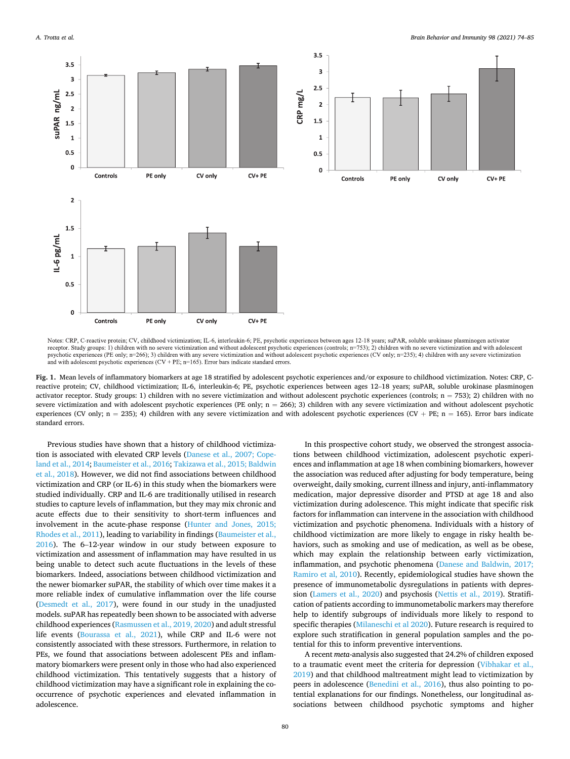<span id="page-6-0"></span>

Notes: CRP, C-reactive protein; CV, childhood victimization; IL-6, interleukin-6; PE, psychotic experiences between ages 12-18 years; suPAR, soluble urokinase plasminogen activator receptor. Study groups: 1) children with no severe victimization and without adolescent psychotic experiences (controls; n=753); 2) children with no severe victimization and with adolescent psychotic experiences (PE only; n=266); 3) children with any severe victimization and without adolescent psychotic experiences (CV only; n=235); 4) children with any severe victimization and with adolescent psychotic experiences  $(CV + PE, n=165)$ . Error bars indicate standard errors.

**Fig. 1.** Mean levels of inflammatory biomarkers at age 18 stratified by adolescent psychotic experiences and/or exposure to childhood victimization. Notes: CRP, Creactive protein; CV, childhood victimization; IL-6, interleukin-6; PE, psychotic experiences between ages 12–18 years; suPAR, soluble urokinase plasminogen activator receptor. Study groups: 1) children with no severe victimization and without adolescent psychotic experiences (controls;  $n = 753$ ); 2) children with no severe victimization and with adolescent psychotic experiences (PE only;  $n = 266$ ); 3) children with any severe victimization and without adolescent psychotic experiences (CV only; n = 235); 4) children with any severe victimization and with adolescent psychotic experiences (CV + PE; n = 165). Error bars indicate standard errors.

Previous studies have shown that a history of childhood victimization is associated with elevated CRP levels [\(Danese et al., 2007; Cope](#page-9-0)[land et al., 2014; Baumeister et al., 2016;](#page-9-0) [Takizawa et al., 2015; Baldwin](#page-10-0)  [et al., 2018\)](#page-10-0). However, we did not find associations between childhood victimization and CRP (or IL-6) in this study when the biomarkers were studied individually. CRP and IL-6 are traditionally utilised in research studies to capture levels of inflammation, but they may mix chronic and acute effects due to their sensitivity to short-term influences and involvement in the acute-phase response ([Hunter and Jones, 2015;](#page-9-0)  [Rhodes et al., 2011](#page-9-0)), leading to variability in findings [\(Baumeister et al.,](#page-9-0)  [2016\)](#page-9-0). The 6–12-year window in our study between exposure to victimization and assessment of inflammation may have resulted in us being unable to detect such acute fluctuations in the levels of these biomarkers. Indeed, associations between childhood victimization and the newer biomarker suPAR, the stability of which over time makes it a more reliable index of cumulative inflammation over the life course ([Desmedt et al., 2017\)](#page-9-0), were found in our study in the unadjusted models. suPAR has repeatedly been shown to be associated with adverse childhood experiences [\(Rasmussen et al., 2019, 2020\)](#page-10-0) and adult stressful life events ([Bourassa et al., 2021\)](#page-9-0), while CRP and IL-6 were not consistently associated with these stressors. Furthermore, in relation to PEs, we found that associations between adolescent PEs and inflammatory biomarkers were present only in those who had also experienced childhood victimization. This tentatively suggests that a history of childhood victimization may have a significant role in explaining the cooccurrence of psychotic experiences and elevated inflammation in adolescence.

In this prospective cohort study, we observed the strongest associations between childhood victimization, adolescent psychotic experiences and inflammation at age 18 when combining biomarkers, however the association was reduced after adjusting for body temperature, being overweight, daily smoking, current illness and injury, anti-inflammatory medication, major depressive disorder and PTSD at age 18 and also victimization during adolescence. This might indicate that specific risk factors for inflammation can intervene in the association with childhood victimization and psychotic phenomena. Individuals with a history of childhood victimization are more likely to engage in risky health behaviors, such as smoking and use of medication, as well as be obese, which may explain the relationship between early victimization, inflammation, and psychotic phenomena [\(Danese and Baldwin, 2017;](#page-9-0)  [Ramiro et al, 2010](#page-9-0)). Recently, epidemiological studies have shown the presence of immunometabolic dysregulations in patients with depression ([Lamers et al., 2020\)](#page-10-0) and psychosis ([Nettis et al., 2019\)](#page-10-0). Stratification of patients according to immunometabolic markers may therefore help to identify subgroups of individuals more likely to respond to specific therapies [\(Milaneschi et al 2020](#page-10-0)). Future research is required to explore such stratification in general population samples and the potential for this to inform preventive interventions.

A recent *meta*-analysis also suggested that 24.2% of children exposed to a traumatic event meet the criteria for depression [\(Vibhakar et al.,](#page-10-0)  [2019\)](#page-10-0) and that childhood maltreatment might lead to victimization by peers in adolescence ([Benedini et al., 2016](#page-9-0)), thus also pointing to potential explanations for our findings. Nonetheless, our longitudinal associations between childhood psychotic symptoms and higher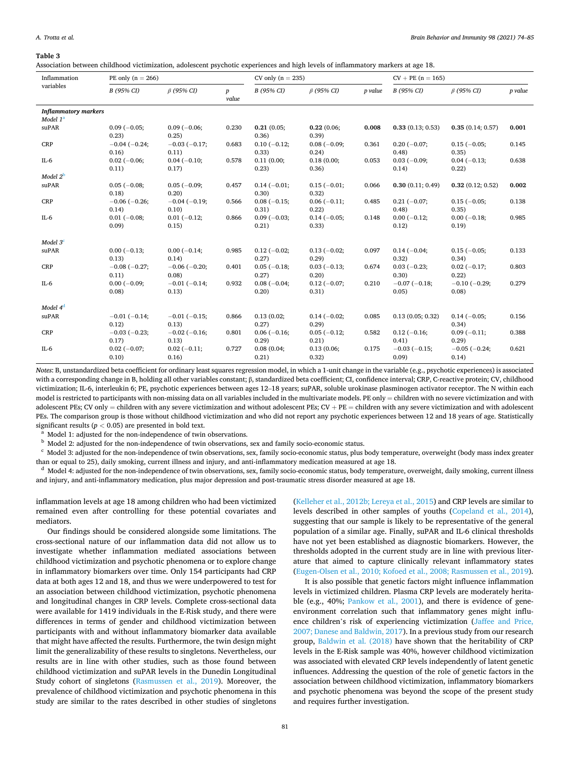#### <span id="page-7-0"></span>**Table 3**

Association between childhood victimization, adolescent psychotic experiences and high levels of inflammatory markers at age 18.

| Inflammation                                        | PE only $(n = 266)$          |                              |                           | CV only $(n = 235)$     |                        |         | $CV + PE (n = 165)$          |                              |         |
|-----------------------------------------------------|------------------------------|------------------------------|---------------------------|-------------------------|------------------------|---------|------------------------------|------------------------------|---------|
| variables                                           | B (95% CI)                   | $\beta$ (95% CI)             | $\boldsymbol{p}$<br>value | B (95% CI)              | $\beta$ (95% CI)       | p value | B (95% CI)                   | $\beta$ (95% CI)             | p value |
| <b>Inflammatory markers</b><br>Model 1 <sup>a</sup> |                              |                              |                           |                         |                        |         |                              |                              |         |
| suPAR                                               | $0.09(-0.05;$<br>0.23)       | $0.09(-0.06)$<br>0.25)       | 0.230                     | 0.21(0.05)<br>0.36)     | 0.22(0.06)<br>0.39)    | 0.008   | 0.33(0.13; 0.53)             | 0.35(0.14; 0.57)             | 0.001   |
| <b>CRP</b>                                          | $-0.04(-0.24;$<br>0.16)      | $-0.03(-0.17)$<br>0.11)      | 0.683                     | $0.10(-0.12;$<br>0.33)  | $0.08(-0.09)$<br>0.24) | 0.361   | $0.20(-0.07)$<br>0.48)       | $0.15(-0.05;$<br>0.35)       | 0.145   |
| $IL-6$                                              | $0.02(-0.06)$<br>0.11)       | $0.04 (-0.10;$<br>0.17)      | 0.578                     | 0.11(0.00;<br>0.23)     | 0.18(0.00;<br>0.36)    | 0.053   | $0.03(-0.09)$<br>0.14)       | $0.04(-0.13;$<br>0.22)       | 0.638   |
| Model $2^{\rm b}$                                   |                              |                              |                           |                         |                        |         |                              |                              |         |
| suPAR                                               | $0.05(-0.08;$<br>0.18)       | $0.05(-0.09;$<br>0.20)       | 0.457                     | $0.14 (-0.01)$<br>0.30) | $0.15(-0.01;$<br>0.32) | 0.066   | 0.30(0.11; 0.49)             | 0.32(0.12; 0.52)             | 0.002   |
| <b>CRP</b>                                          | $-0.06$ ( $-0.26$ )<br>0.14) | $-0.04(-0.19;$<br>0.10)      | 0.566                     | $0.08(-0.15;$<br>0.31)  | $0.06(-0.11)$<br>0.22) | 0.485   | $0.21(-0.07)$<br>(0.48)      | $0.15(-0.05;$<br>0.35)       | 0.138   |
| $IL-6$                                              | $0.01(-0.08)$<br>0.09        | $0.01(-0.12;$<br>0.15)       | 0.866                     | $0.09(-0.03)$<br>0.21)  | $0.14(-0.05)$<br>0.33) | 0.148   | $0.00(-0.12;$<br>0.12)       | $0.00(-0.18;$<br>0.19)       | 0.985   |
| Model $3c$                                          |                              |                              |                           |                         |                        |         |                              |                              |         |
| suPAR                                               | $0.00(-0.13)$<br>0.13)       | $0.00(-0.14;$<br>0.14)       | 0.985                     | $0.12(-0.02;$<br>0.27)  | $0.13(-0.02;$<br>0.29) | 0.097   | $0.14(-0.04)$<br>0.32)       | $0.15(-0.05;$<br>0.34)       | 0.133   |
| <b>CRP</b>                                          | $-0.08$ ( $-0.27$ ;<br>0.11) | $-0.06$ ( $-0.20$ ;<br>0.08  | 0.401                     | $0.05(-0.18;$<br>0.27)  | $0.03(-0.13;$<br>0.20) | 0.674   | $0.03(-0.23;$<br>0.30)       | $0.02(-0.17;$<br>0.22)       | 0.803   |
| $IL-6$                                              | $0.00(-0.09)$<br>0.08        | $-0.01(-0.14)$<br>0.13)      | 0.932                     | $0.08(-0.04)$<br>0.20)  | $0.12(-0.07)$<br>0.31) | 0.210   | $-0.07$ ( $-0.18$ ;<br>0.05) | $-0.10$ ( $-0.29$ ;<br>0.08  | 0.279   |
| Model 4 <sup>d</sup>                                |                              |                              |                           |                         |                        |         |                              |                              |         |
| suPAR                                               | $-0.01$ ( $-0.14$ ;<br>0.12) | $-0.01$ ( $-0.15$ ;<br>0.13) | 0.866                     | 0.13(0.02)<br>0.27)     | $0.14(-0.02)$<br>0.29) | 0.085   | 0.13(0.05; 0.32)             | $0.14(-0.05;$<br>0.34)       | 0.156   |
| CRP                                                 | $-0.03(-0.23;$<br>0.17)      | $-0.02$ ( $-0.16$ ;<br>0.13) | 0.801                     | $0.06(-0.16;$<br>0.29)  | $0.05(-0.12;$<br>0.21) | 0.582   | $0.12(-0.16;$<br>0.41)       | $0.09(-0.11;$<br>0.29)       | 0.388   |
| $IL-6$                                              | $0.02(-0.07;$<br>0.10)       | $0.02(-0.11;$<br>0.16)       | 0.727                     | 0.08(0.04;<br>0.21)     | 0.13(0.06;<br>0.32)    | 0.175   | $-0.03$ ( $-0.15$ ;<br>0.09  | $-0.05$ ( $-0.24$ ;<br>0.14) | 0.621   |

*Notes*: B, unstandardized beta coefficient for ordinary least squares regression model, in which a 1-unit change in the variable (e.g., psychotic experiences) is associated with a corresponding change in B, holding all other variables constant; β, standardized beta coefficient; CI, confidence interval; CRP, C-reactive protein; CV, childhood victimization; IL-6, interleukin 6; PE, psychotic experiences between ages 12–18 years; suPAR, soluble urokinase plasminogen activator receptor. The N within each model is restricted to participants with non-missing data on all variables included in the multivariate models. PE only = children with no severe victimization and with adolescent PEs; CV only = children with any severe victimization and without adolescent PEs; CV + PE = children with any severe victimization and with adolescent PEs. The comparison group is those without childhood victimization and who did not report any psychotic experiences between 12 and 18 years of age. Statistically significant results ( $p < 0.05$ ) are presented in bold text.<br><sup>a</sup> Model 1: adjusted for the non-independence of twin observations.<br><sup>b</sup> Model 2: adjusted for the non-independence of twin observations, sex and family socio-ec

than or equal to 25), daily smoking, current illness and injury, and anti-inflammatory medication measured at age 18.<br><sup>d</sup> Model 4: adjusted for the non-independence of twin observations, sex, family socio-economic status,

and injury, and anti-inflammatory medication, plus major depression and post-traumatic stress disorder measured at age 18.

inflammation levels at age 18 among children who had been victimized remained even after controlling for these potential covariates and mediators.

Our findings should be considered alongside some limitations. The cross-sectional nature of our inflammation data did not allow us to investigate whether inflammation mediated associations between childhood victimization and psychotic phenomena or to explore change in inflammatory biomarkers over time. Only 154 participants had CRP data at both ages 12 and 18, and thus we were underpowered to test for an association between childhood victimization, psychotic phenomena and longitudinal changes in CRP levels. Complete cross-sectional data were available for 1419 individuals in the E-Risk study, and there were differences in terms of gender and childhood victimization between participants with and without inflammatory biomarker data available that might have affected the results. Furthermore, the twin design might limit the generalizability of these results to singletons. Nevertheless, our results are in line with other studies, such as those found between childhood victimization and suPAR levels in the Dunedin Longitudinal Study cohort of singletons ([Rasmussen et al., 2019\)](#page-10-0). Moreover, the prevalence of childhood victimization and psychotic phenomena in this study are similar to the rates described in other studies of singletons

([Kelleher et al., 2012b; Lereya et al., 2015](#page-9-0)) and CRP levels are similar to levels described in other samples of youths ([Copeland et al., 2014](#page-9-0)), suggesting that our sample is likely to be representative of the general population of a similar age. Finally, suPAR and IL-6 clinical thresholds have not yet been established as diagnostic biomarkers. However, the thresholds adopted in the current study are in line with previous literature that aimed to capture clinically relevant inflammatory states ([Eugen-Olsen et al., 2010; Kofoed et al., 2008; Rasmussen et al., 2019](#page-9-0)).

It is also possible that genetic factors might influence inflammation levels in victimized children. Plasma CRP levels are moderately heritable (e.g., 40%; [Pankow et al., 2001\)](#page-10-0), and there is evidence of geneenvironment correlation such that inflammatory genes might influence children's risk of experiencing victimization ([Jaffee and Price,](#page-9-0)  [2007; Danese and Baldwin, 2017](#page-9-0)). In a previous study from our research group, [Baldwin et al. \(2018\)](#page-9-0) have shown that the heritability of CRP levels in the E-Risk sample was 40%, however childhood victimization was associated with elevated CRP levels independently of latent genetic influences. Addressing the question of the role of genetic factors in the association between childhood victimization, inflammatory biomarkers and psychotic phenomena was beyond the scope of the present study and requires further investigation.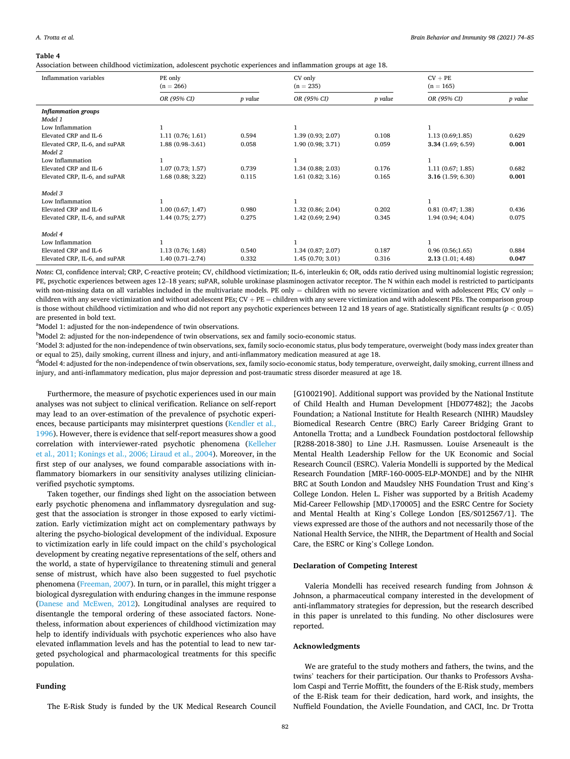#### <span id="page-8-0"></span>**Table 4**

Association between childhood victimization, adolescent psychotic experiences and inflammation groups at age 18.

| Inflammation variables                   | PE only<br>$(n = 266)$ |         | CV only<br>$(n = 235)$ |         | $CV + PE$<br>$(n = 165)$ |         |  |
|------------------------------------------|------------------------|---------|------------------------|---------|--------------------------|---------|--|
|                                          | OR (95% CI)            | p value | OR (95% CI)            | p value | OR (95% CI)              | p value |  |
| <b>Inflammation groups</b><br>Model 1    |                        |         |                        |         |                          |         |  |
| Low Inflammation                         |                        |         |                        |         |                          |         |  |
| Elevated CRP and IL-6                    | 1.11(0.76; 1.61)       | 0.594   | 1.39(0.93; 2.07)       | 0.108   | 1.13(0.69;1.85)          | 0.629   |  |
| Elevated CRP, IL-6, and suPAR<br>Model 2 | $1.88(0.98 - 3.61)$    | 0.058   | 1.90(0.98; 3.71)       | 0.059   | 3.34(1.69; 6.59)         | 0.001   |  |
| Low Inflammation                         |                        |         |                        |         |                          |         |  |
| Elevated CRP and IL-6                    | 1.07(0.73; 1.57)       | 0.739   | 1.34(0.88; 2.03)       | 0.176   | 1.11(0.67; 1.85)         | 0.682   |  |
| Elevated CRP, IL-6, and suPAR            | 1.68(0.88; 3.22)       | 0.115   | 1.61(0.82; 3.16)       | 0.165   | 3.16(1.59; 6.30)         | 0.001   |  |
| Model 3                                  |                        |         |                        |         |                          |         |  |
| Low Inflammation                         |                        |         |                        |         |                          |         |  |
| Elevated CRP and IL-6                    | 1.00(0.67; 1.47)       | 0.980   | 1.32(0.86; 2.04)       | 0.202   | 0.81(0.47; 1.38)         | 0.436   |  |
| Elevated CRP, IL-6, and suPAR            | 1.44(0.75; 2.77)       | 0.275   | 1.42(0.69; 2.94)       | 0.345   | 1.94(0.94; 4.04)         | 0.075   |  |
| Model 4                                  |                        |         |                        |         |                          |         |  |
| Low Inflammation                         |                        |         |                        |         |                          |         |  |
| Elevated CRP and IL-6                    | 1.13(0.76; 1.68)       | 0.540   | 1.34(0.87; 2.07)       | 0.187   | 0.96(0.56;1.65)          | 0.884   |  |
| Elevated CRP, IL-6, and suPAR            | $1.40(0.71 - 2.74)$    | 0.332   | 1.45(0.70; 3.01)       | 0.316   | 2.13(1.01; 4.48)         | 0.047   |  |

*Notes*: CI, confidence interval; CRP, C-reactive protein; CV, childhood victimization; IL-6, interleukin 6; OR, odds ratio derived using multinomial logistic regression; PE, psychotic experiences between ages 12–18 years; suPAR, soluble urokinase plasminogen activator receptor. The N within each model is restricted to participants with non-missing data on all variables included in the multivariate models. PE only = children with no severe victimization and with adolescent PEs; CV only = children with any severe victimization and without adolescent PEs;  $CV + PE =$  children with any severe victimization and with adolescent PEs. The comparison group is those without childhood victimization and who did not report any psychotic experiences between 12 and 18 years of age. Statistically significant results (*p <* 0.05) are presented in bold text.

<sup>a</sup>Model 1: adjusted for the non-independence of twin observations.

 $b$ Model 2: adjusted for the non-independence of twin observations, sex and family socio-economic status.

Model 3: adjusted for the non-independence of twin observations, sex, family socio-economic status, plus body temperature, overweight (body mass index greater than or equal to 25), daily smoking, current illness and injury, and anti-inflammatory medication measured at age 18.

<sup>d</sup>Model 4: adjusted for the non-independence of twin observations, sex, family socio-economic status, body temperature, overweight, daily smoking, current illness and injury, and anti-inflammatory medication, plus major depression and post-traumatic stress disorder measured at age 18.

Furthermore, the measure of psychotic experiences used in our main analyses was not subject to clinical verification. Reliance on self-report may lead to an over-estimation of the prevalence of psychotic experiences, because participants may misinterpret questions ([Kendler et al.,](#page-9-0)  [1996\)](#page-9-0). However, there is evidence that self-report measures show a good correlation with interviewer-rated psychotic phenomena [\(Kelleher](#page-9-0)  [et al., 2011; Konings et al., 2006; Liraud et al., 2004](#page-9-0)). Moreover, in the first step of our analyses, we found comparable associations with inflammatory biomarkers in our sensitivity analyses utilizing clinicianverified psychotic symptoms.

Taken together, our findings shed light on the association between early psychotic phenomena and inflammatory dysregulation and suggest that the association is stronger in those exposed to early victimization. Early victimization might act on complementary pathways by altering the psycho-biological development of the individual. Exposure to victimization early in life could impact on the child's psychological development by creating negative representations of the self, others and the world, a state of hypervigilance to threatening stimuli and general sense of mistrust, which have also been suggested to fuel psychotic phenomena ([Freeman, 2007](#page-9-0)). In turn, or in parallel, this might trigger a biological dysregulation with enduring changes in the immune response ([Danese and McEwen, 2012](#page-9-0)). Longitudinal analyses are required to disentangle the temporal ordering of these associated factors. Nonetheless, information about experiences of childhood victimization may help to identify individuals with psychotic experiences who also have elevated inflammation levels and has the potential to lead to new targeted psychological and pharmacological treatments for this specific population.

#### **Funding**

The E-Risk Study is funded by the UK Medical Research Council

[G1002190]. Additional support was provided by the National Institute of Child Health and Human Development [HD077482]; the Jacobs Foundation; a National Institute for Health Research (NIHR) Maudsley Biomedical Research Centre (BRC) Early Career Bridging Grant to Antonella Trotta; and a Lundbeck Foundation postdoctoral fellowship [R288-2018-380] to Line J.H. Rasmussen. Louise Arseneault is the Mental Health Leadership Fellow for the UK Economic and Social Research Council (ESRC). Valeria Mondelli is supported by the Medical Research Foundation [MRF-160-0005-ELP-MONDE] and by the NIHR BRC at South London and Maudsley NHS Foundation Trust and King's College London. Helen L. Fisher was supported by a British Academy Mid-Career Fellowship [MD\170005] and the ESRC Centre for Society and Mental Health at King's College London [ES/S012567/1]. The views expressed are those of the authors and not necessarily those of the National Health Service, the NIHR, the Department of Health and Social Care, the ESRC or King's College London.

## **Declaration of Competing Interest**

Valeria Mondelli has received research funding from Johnson & Johnson, a pharmaceutical company interested in the development of anti-inflammatory strategies for depression, but the research described in this paper is unrelated to this funding. No other disclosures were reported.

#### **Acknowledgments**

We are grateful to the study mothers and fathers, the twins, and the twins' teachers for their participation. Our thanks to Professors Avshalom Caspi and Terrie Moffitt, the founders of the E-Risk study, members of the E-Risk team for their dedication, hard work, and insights, the Nuffield Foundation, the Avielle Foundation, and CACI, Inc. Dr Trotta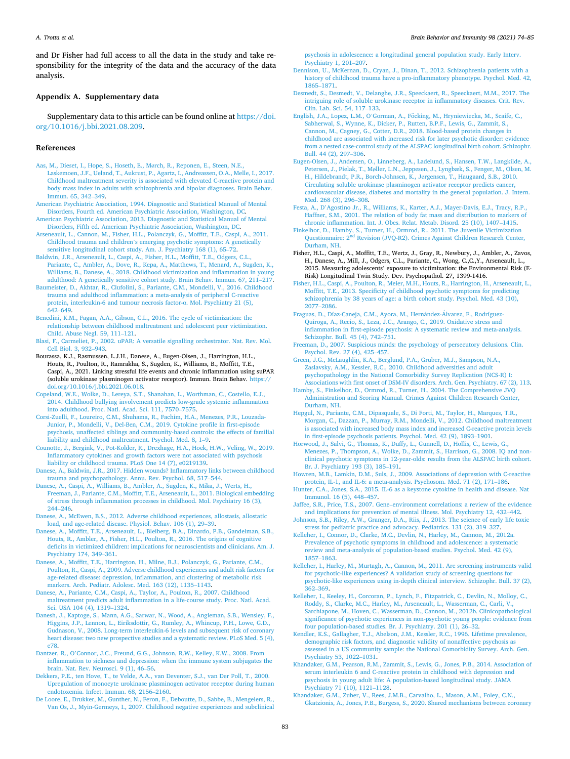<span id="page-9-0"></span>and Dr Fisher had full access to all the data in the study and take responsibility for the integrity of the data and the accuracy of the data analysis.

# **Appendix A. Supplementary data**

Supplementary data to this article can be found online at [https://doi.](https://doi.org/10.1016/j.bbi.2021.08.209)  [org/10.1016/j.bbi.2021.08.209](https://doi.org/10.1016/j.bbi.2021.08.209).

#### **References**

- [Aas, M., Dieset, I., Hope, S., Hoseth, E., M](http://refhub.elsevier.com/S0889-1591(21)00500-6/h0005)ørch, R., Reponen, E., Steen, N.E., [Laskemoen, J.F., Ueland, T., Aukrust, P., Agartz, I., Andreassen, O.A., Melle, I., 2017.](http://refhub.elsevier.com/S0889-1591(21)00500-6/h0005)  [Childhood maltreatment severity is associated with elevated C-reactive protein and](http://refhub.elsevier.com/S0889-1591(21)00500-6/h0005)  [body mass index in adults with schizophrenia and bipolar diagnoses. Brain Behav.](http://refhub.elsevier.com/S0889-1591(21)00500-6/h0005)  [Immun. 65, 342](http://refhub.elsevier.com/S0889-1591(21)00500-6/h0005)–349.
- [American Psychiatric Association, 1994. Diagnostic and Statistical Manual of Mental](http://refhub.elsevier.com/S0889-1591(21)00500-6/h0010)  [Disorders, Fourth ed. American Psychiatric Association, Washington, DC](http://refhub.elsevier.com/S0889-1591(21)00500-6/h0010). [American Psychiatric Association, 2013. Diagnostic and Statistical Manual of Mental](http://refhub.elsevier.com/S0889-1591(21)00500-6/h0015)
- [Disorders, Fifth ed. American Psychiatric Association, Washington, DC](http://refhub.elsevier.com/S0889-1591(21)00500-6/h0015). [Arseneault, L., Cannon, M., Fisher, H.L., Polanczyk, G., Moffitt, T.E., Caspi, A., 2011.](http://refhub.elsevier.com/S0889-1591(21)00500-6/h0020)
- Childhood trauma and children'[s emerging psychotic symptoms: A genetically](http://refhub.elsevier.com/S0889-1591(21)00500-6/h0020)  [sensitive longitudinal cohort study. Am. J. Psychiatry 168 \(1\), 65](http://refhub.elsevier.com/S0889-1591(21)00500-6/h0020)–72.
- [Baldwin, J.R., Arseneault, L., Caspi, A., Fisher, H.L., Moffitt, T.E., Odgers, C.L.,](http://refhub.elsevier.com/S0889-1591(21)00500-6/h0025) [Pariante, C., Ambler, A., Dove, R., Kepa, A., Matthews, T., Menard, A., Sugden, K.,](http://refhub.elsevier.com/S0889-1591(21)00500-6/h0025)  [Williams, B., Danese, A., 2018. Childhood victimization and inflammation in young](http://refhub.elsevier.com/S0889-1591(21)00500-6/h0025)  [adulthood: A genetically sensitive cohort study. Brain Behav. Immun. 67, 211](http://refhub.elsevier.com/S0889-1591(21)00500-6/h0025)–217.
- [Baumeister, D., Akhtar, R., Ciufolini, S., Pariante, C.M., Mondelli, V., 2016. Childhood](http://refhub.elsevier.com/S0889-1591(21)00500-6/h0030)  [trauma and adulthood inflammation: a meta-analysis of peripheral C-reactive](http://refhub.elsevier.com/S0889-1591(21)00500-6/h0030) [protein, interleukin-6 and tumour necrosis factor-](http://refhub.elsevier.com/S0889-1591(21)00500-6/h0030)α. Mol. Psychiatry 21 (5),  $642–649$  $642–649$
- [Benedini, K.M., Fagan, A.A., Gibson, C.L., 2016. The cycle of victimization: the](http://refhub.elsevier.com/S0889-1591(21)00500-6/h0035)  [relationship between childhood maltreatment and adolescent peer victimization.](http://refhub.elsevier.com/S0889-1591(21)00500-6/h0035) [Child. Abuse Negl. 59, 111](http://refhub.elsevier.com/S0889-1591(21)00500-6/h0035)–121.
- [Blasi, F., Carmeliet, P., 2002. uPAR: A versatile signalling orchestrator. Nat. Rev. Mol.](http://refhub.elsevier.com/S0889-1591(21)00500-6/h0040) [Cell Biol. 3, 932](http://refhub.elsevier.com/S0889-1591(21)00500-6/h0040)–943.
- Bourassa, K.J., Rasmussen, L.J.H., Danese, A., Eugen-Olsen, J., Harrington, H.L., Houts, R., Poulton, R., Ramrakha, S., Sugden, K., Williams, B., Moffitt, T.E., Caspi, A., 2021. Linking stressful life events and chronic inflammation using suPAR (soluble urokinase plasminogen activator receptor). Immun. Brain Behav. [https://](https://doi.org/10.1016/j.bbi.2021.06.018) [doi.org/10.1016/j.bbi.2021.06.018.](https://doi.org/10.1016/j.bbi.2021.06.018)
- [Copeland, W.E., Wolke, D., Lereya, S.T., Shanahan, L., Worthman, C., Costello, E.J.,](http://refhub.elsevier.com/S0889-1591(21)00500-6/h0050) [2014. Childhood bullying involvement predicts low-grade systemic inflammation](http://refhub.elsevier.com/S0889-1591(21)00500-6/h0050)  [into adulthood. Proc. Natl. Acad. Sci. 111, 7570](http://refhub.elsevier.com/S0889-1591(21)00500-6/h0050)–7575.
- [Corsi-Zuelli, F., Loureiro, C.M., Shuhama, R., Fachim, H.A., Menezes, P.R., Louzada-](http://refhub.elsevier.com/S0889-1591(21)00500-6/h0055)[Junior, P., Mondelli, V., Del-Ben, C.M., 2019. Cytokine profile in first-episode](http://refhub.elsevier.com/S0889-1591(21)00500-6/h0055)  [psychosis, unaffected siblings and community-based controls: the effects of familial](http://refhub.elsevier.com/S0889-1591(21)00500-6/h0055)  [liability and childhood maltreatment. Psychol. Med. 8, 1](http://refhub.elsevier.com/S0889-1591(21)00500-6/h0055)–9.
- [Counotte, J., Bergink, V., Pot-Kolder, R., Drexhage, H.A., Hoek, H.W., Veling, W., 2019.](http://refhub.elsevier.com/S0889-1591(21)00500-6/h0060)  [Inflammatory cytokines and growth factors were not associated with psychosis](http://refhub.elsevier.com/S0889-1591(21)00500-6/h0060)  [liability or childhood trauma. PLoS One 14 \(7\), e0219139.](http://refhub.elsevier.com/S0889-1591(21)00500-6/h0060)
- [Danese, A., Baldwin, J.R., 2017. Hidden wounds? Inflammatory links between childhood](http://refhub.elsevier.com/S0889-1591(21)00500-6/h0065)  [trauma and psychopathology. Annu. Rev. Psychol. 68, 517](http://refhub.elsevier.com/S0889-1591(21)00500-6/h0065)–544.
- [Danese, A., Caspi, A., Williams, B., Ambler, A., Sugden, K., Mika, J., Werts, H.,](http://refhub.elsevier.com/S0889-1591(21)00500-6/h0070) [Freeman, J., Pariante, C.M., Moffitt, T.E., Arseneault, L., 2011. Biological embedding](http://refhub.elsevier.com/S0889-1591(21)00500-6/h0070)  [of stress through inflammation processes in childhood. Mol. Psychiatry 16 \(3\),](http://refhub.elsevier.com/S0889-1591(21)00500-6/h0070)  244–[246](http://refhub.elsevier.com/S0889-1591(21)00500-6/h0070).
- [Danese, A., McEwen, B.S., 2012. Adverse childhood experiences, allostasis, allostatic](http://refhub.elsevier.com/S0889-1591(21)00500-6/h0075) [load, and age-related disease. Physiol. Behav. 106 \(1\), 29](http://refhub.elsevier.com/S0889-1591(21)00500-6/h0075)–39.
- [Danese, A., Moffitt, T.E., Arseneault, L., Bleiberg, B.A., Dinardo, P.B., Gandelman, S.B.,](http://refhub.elsevier.com/S0889-1591(21)00500-6/h0080) [Houts, R., Ambler, A., Fisher, H.L., Poulton, R., 2016. The origins of cognitive](http://refhub.elsevier.com/S0889-1591(21)00500-6/h0080)  [deficits in victimized children: implications for neuroscientists and clinicians. Am. J.](http://refhub.elsevier.com/S0889-1591(21)00500-6/h0080)  [Psychiatry 174, 349](http://refhub.elsevier.com/S0889-1591(21)00500-6/h0080)–361.
- [Danese, A., Moffitt, T.E., Harrington, H., Milne, B.J., Polanczyk, G., Pariante, C.M.,](http://refhub.elsevier.com/S0889-1591(21)00500-6/h0085)  [Poulton, R., Caspi, A., 2009. Adverse childhood experiences and adult risk factors for](http://refhub.elsevier.com/S0889-1591(21)00500-6/h0085)  [age-related disease: depression, inflammation, and clustering of metabolic risk](http://refhub.elsevier.com/S0889-1591(21)00500-6/h0085) [markers. Arch. Pediatr. Adolesc. Med. 163 \(12\), 1135](http://refhub.elsevier.com/S0889-1591(21)00500-6/h0085)–1143.
- [Danese, A., Pariante, C.M., Caspi, A., Taylor, A., Poulton, R., 2007. Childhood](http://refhub.elsevier.com/S0889-1591(21)00500-6/h0090)  [maltreatment predicts adult inflammation in a life-course study. Proc. Natl. Acad.](http://refhub.elsevier.com/S0889-1591(21)00500-6/h0090) [Sci. USA 104 \(4\), 1319](http://refhub.elsevier.com/S0889-1591(21)00500-6/h0090)–1324.
- [Danesh, J., Kaptoge, S., Mann, A.G., Sarwar, N., Wood, A., Angleman, S.B., Wensley, F.,](http://refhub.elsevier.com/S0889-1591(21)00500-6/h0095)  [Higgins, J.P., Lennon, L., Eiriksdottir, G., Rumley, A., Whincup, P.H., Lowe, G.D.,](http://refhub.elsevier.com/S0889-1591(21)00500-6/h0095)  [Gudnason, V., 2008. Long-term interleukin-6 levels and subsequent risk of coronary](http://refhub.elsevier.com/S0889-1591(21)00500-6/h0095)  [heart disease: two new prospective studies and a systematic review. PLoS Med. 5 \(4\),](http://refhub.elsevier.com/S0889-1591(21)00500-6/h0095)  [e78.](http://refhub.elsevier.com/S0889-1591(21)00500-6/h0095)
- Dantzer, R., O'[Connor, J.C., Freund, G.G., Johnson, R.W., Kelley, K.W., 2008. From](http://refhub.elsevier.com/S0889-1591(21)00500-6/h0100) [inflammation to sickness and depression: when the immune system subjugates the](http://refhub.elsevier.com/S0889-1591(21)00500-6/h0100)  [brain. Nat. Rev. Neurosci. 9 \(1\), 46](http://refhub.elsevier.com/S0889-1591(21)00500-6/h0100)–56.
- [Dekkers, P.E., ten Hove, T., te Velde, A.A., van Deventer, S.J., van Der Poll, T., 2000.](http://refhub.elsevier.com/S0889-1591(21)00500-6/h0105) [Upregulation of monocyte urokinase plasminogen activator receptor during human](http://refhub.elsevier.com/S0889-1591(21)00500-6/h0105)  [endotoxemia. Infect. Immun. 68, 2156](http://refhub.elsevier.com/S0889-1591(21)00500-6/h0105)–2160.
- [De Loore, E., Drukker, M., Gunther, N., Feron, F., Deboutte, D., Sabbe, B., Mengelers, R.,](http://refhub.elsevier.com/S0889-1591(21)00500-6/h0110)  [Van Os, J., Myin-Germeys, I., 2007. Childhood negative experiences and subclinical](http://refhub.elsevier.com/S0889-1591(21)00500-6/h0110)

[psychosis in adolescence: a longitudinal general population study. Early Interv.](http://refhub.elsevier.com/S0889-1591(21)00500-6/h0110)  [Psychiatry 1, 201](http://refhub.elsevier.com/S0889-1591(21)00500-6/h0110)–207.

- [Dennison, U., McKernan, D., Cryan, J., Dinan, T., 2012. Schizophrenia patients with a](http://refhub.elsevier.com/S0889-1591(21)00500-6/h0115) [history of childhood trauma have a pro-inflammatory phenotype. Psychol. Med. 42,](http://refhub.elsevier.com/S0889-1591(21)00500-6/h0115)  [1865](http://refhub.elsevier.com/S0889-1591(21)00500-6/h0115)–1871.
- [Desmedt, S., Desmedt, V., Delanghe, J.R., Speeckaert, R., Speeckaert, M.M., 2017. The](http://refhub.elsevier.com/S0889-1591(21)00500-6/h0120) [intriguing role of soluble urokinase receptor in inflammatory diseases. Crit. Rev.](http://refhub.elsevier.com/S0889-1591(21)00500-6/h0120) [Clin. Lab. Sci. 54, 117](http://refhub.elsevier.com/S0889-1591(21)00500-6/h0120)–133.
- English, J.A., Lopez, L.M., O'Gorman, A., Föcking, M., Hryniewiecka, M., Scaife, C., [Sabherwal, S., Wynne, K., Dicker, P., Rutten, B.P.F., Lewis, G., Zammit, S.,](http://refhub.elsevier.com/S0889-1591(21)00500-6/h0125)  [Cannon, M., Cagney, G., Cotter, D.R., 2018. Blood-based protein changes in](http://refhub.elsevier.com/S0889-1591(21)00500-6/h0125)  [childhood are associated with increased risk for later psychotic disorder: evidence](http://refhub.elsevier.com/S0889-1591(21)00500-6/h0125) [from a nested case-control study of the ALSPAC longitudinal birth cohort. Schizophr.](http://refhub.elsevier.com/S0889-1591(21)00500-6/h0125)  [Bull. 44 \(2\), 297](http://refhub.elsevier.com/S0889-1591(21)00500-6/h0125)–306.
- [Eugen-Olsen, J., Andersen, O., Linneberg, A., Ladelund, S., Hansen, T.W., Langkilde, A.,](http://refhub.elsevier.com/S0889-1591(21)00500-6/h0130)  Petersen, J., Pielak, T., Mø[ller, L.N., Jeppesen, J., Lyngbæk, S., Fenger, M., Olsen, M.](http://refhub.elsevier.com/S0889-1591(21)00500-6/h0130)  [H., Hildebrandt, P.R., Borch-Johnsen, K., J](http://refhub.elsevier.com/S0889-1591(21)00500-6/h0130)ørgensen, T., Haugaard, S.B., 2010. [Circulating soluble urokinase plasminogen activator receptor predicts cancer,](http://refhub.elsevier.com/S0889-1591(21)00500-6/h0130)  [cardiovascular disease, diabetes and mortality in the general population. J. Intern.](http://refhub.elsevier.com/S0889-1591(21)00500-6/h0130) [Med. 268 \(3\), 296](http://refhub.elsevier.com/S0889-1591(21)00500-6/h0130)–308.
- Festa, A., D'[Agostino Jr., R., Williams, K., Karter, A.J., Mayer-Davis, E.J., Tracy, R.P.,](http://refhub.elsevier.com/S0889-1591(21)00500-6/h0135) [Haffner, S.M., 2001. The relation of body fat mass and distribution to markers of](http://refhub.elsevier.com/S0889-1591(21)00500-6/h0135) [chronic inflammation. Int. J. Obes. Relat. Metab. Disord. 25 \(10\), 1407](http://refhub.elsevier.com/S0889-1591(21)00500-6/h0135)–1415.
- [Finkelhor, D., Hamby, S., Turner, H., Ormrod, R., 2011. The Juvenile Victimization](http://refhub.elsevier.com/S0889-1591(21)00500-6/h0140)<br>Ouestionnaire: 2<sup>nd</sup> Revision (JVO-R2). Crimes Against Children Research Center <sup>d</sup> Revision (JVQ-R2). Crimes Against Children Research Center, [Durham, NH.](http://refhub.elsevier.com/S0889-1591(21)00500-6/h0140)
- Fisher, H.L., Caspi, A., Moffitt, T.E., Wertz, J., Gray, R., Newbury, J., Ambler, A., Zavos, H., Danese, A., Mill, J., Odgers, C.L., Pariante, C., Wong, C.,C.,Y., Arseneault, L., 2015. Measuring adolescents' exposure to victimization: the Environmental Risk (E-Risk) Longitudinal Twin Study. Dev. Psychopathol. 27, 1399-1416.
- [Fisher, H.L., Caspi, A., Poulton, R., Meier, M.H., Houts, R., Harrington, H., Arseneault, L.,](http://refhub.elsevier.com/S0889-1591(21)00500-6/h0150)  [Moffitt, T.E., 2013. Specificity of childhood psychotic symptoms for predicting](http://refhub.elsevier.com/S0889-1591(21)00500-6/h0150) [schizophrenia by 38 years of age: a birth cohort study. Psychol. Med. 43 \(10\),](http://refhub.elsevier.com/S0889-1591(21)00500-6/h0150) [2077](http://refhub.elsevier.com/S0889-1591(21)00500-6/h0150)–2086.
- [Fraguas, D., Díaz-Caneja, C.M., Ayora, M., Hern](http://refhub.elsevier.com/S0889-1591(21)00500-6/h0155)ández-Álvarez, F., Rodríguez-[Quiroga, A., Recio, S., Leza, J.C., Arango, C., 2019. Oxidative stress and](http://refhub.elsevier.com/S0889-1591(21)00500-6/h0155)  [inflammation in first-episode psychosis: A systematic review and meta-analysis.](http://refhub.elsevier.com/S0889-1591(21)00500-6/h0155)  [Schizophr. Bull. 45 \(4\), 742](http://refhub.elsevier.com/S0889-1591(21)00500-6/h0155)–751.
- [Freeman, D., 2007. Suspicious minds: the psychology of persecutory delusions. Clin.](http://refhub.elsevier.com/S0889-1591(21)00500-6/h0160) [Psychol. Rev. 27 \(4\), 425](http://refhub.elsevier.com/S0889-1591(21)00500-6/h0160)–457.
- [Green, J.G., McLaughlin, K.A., Berglund, P.A., Gruber, M.J., Sampson, N.A.,](http://refhub.elsevier.com/S0889-1591(21)00500-6/h0165) [Zaslavsky, A.M., Kessler, R.C., 2010. Childhood adversities and adult](http://refhub.elsevier.com/S0889-1591(21)00500-6/h0165) [psychopathology in the National Comorbidity Survey Replication \(NCS-R\) I:](http://refhub.elsevier.com/S0889-1591(21)00500-6/h0165)  [Associations with first onset of DSM-IV disorders. Arch. Gen. Psychiatry. 67 \(2\), 113.](http://refhub.elsevier.com/S0889-1591(21)00500-6/h0165)
- [Hamby, S., Finkelhor, D., Ormrod, R., Turner, H., 2004. The Comprehensive JVQ](http://refhub.elsevier.com/S0889-1591(21)00500-6/h0170)  [Administration and Scoring Manual. Crimes Against Children Research Center,](http://refhub.elsevier.com/S0889-1591(21)00500-6/h0170) [Durham, NH.](http://refhub.elsevier.com/S0889-1591(21)00500-6/h0170)
- [Hepgul, N., Pariante, C.M., Dipasquale, S., Di Forti, M., Taylor, H., Marques, T.R.,](http://refhub.elsevier.com/S0889-1591(21)00500-6/h0175)  [Morgan, C., Dazzan, P., Murray, R.M., Mondelli, V., 2012. Childhood maltreatment](http://refhub.elsevier.com/S0889-1591(21)00500-6/h0175)  [is associated with increased body mass index and increased C-reactive protein levels](http://refhub.elsevier.com/S0889-1591(21)00500-6/h0175)  [in first-episode psychosis patients. Psychol. Med. 42 \(9\), 1893](http://refhub.elsevier.com/S0889-1591(21)00500-6/h0175)–1901.
- [Horwood, J., Salvi, G., Thomas, K., Duffy, L., Gunnell, D., Hollis, C., Lewis, G.,](http://refhub.elsevier.com/S0889-1591(21)00500-6/h0180)  [Menezes, P., Thompson, A., Wolke, D., Zammit, S., Harrison, G., 2008. IQ and non](http://refhub.elsevier.com/S0889-1591(21)00500-6/h0180)[clinical psychotic symptoms in 12-year-olds: results from the ALSPAC birth cohort.](http://refhub.elsevier.com/S0889-1591(21)00500-6/h0180) [Br. J. Psychiatry 193 \(3\), 185](http://refhub.elsevier.com/S0889-1591(21)00500-6/h0180)–191.
- [Howren, M.B., Lamkin, D.M., Suls, J., 2009. Associations of depression with C-reactive](http://refhub.elsevier.com/S0889-1591(21)00500-6/h0185)  [protein, IL-1, and IL-6: a meta-analysis. Psychosom. Med. 71 \(2\), 171](http://refhub.elsevier.com/S0889-1591(21)00500-6/h0185)–186.
- [Hunter, C.A., Jones, S.A., 2015. IL-6 as a keystone cytokine in health and disease. Nat](http://refhub.elsevier.com/S0889-1591(21)00500-6/h0190)  [Immunol. 16 \(5\), 448](http://refhub.elsevier.com/S0889-1591(21)00500-6/h0190)–457.
- Jaffee, S.R., Price, T.S., 2007. Gene–[environment correlations: a review of the evidence](http://refhub.elsevier.com/S0889-1591(21)00500-6/h0195)  [and implications for prevention of mental illness. Mol. Psychiatry 12, 432](http://refhub.elsevier.com/S0889-1591(21)00500-6/h0195)–442.
- [Johnson, S.B., Riley, A.W., Granger, D.A., Riis, J., 2013. The science of early life toxic](http://refhub.elsevier.com/S0889-1591(21)00500-6/h0200) [stress for pediatric practice and advocacy. Pediatrics. 131 \(2\), 319](http://refhub.elsevier.com/S0889-1591(21)00500-6/h0200)–327.
- [Kelleher, I., Connor, D., Clarke, M.C., Devlin, N., Harley, M., Cannon, M., 2012a.](http://refhub.elsevier.com/S0889-1591(21)00500-6/h0205) [Prevalence of psychotic symptoms in childhood and adolescence: a systematic](http://refhub.elsevier.com/S0889-1591(21)00500-6/h0205) [review and meta-analysis of population-based studies. Psychol. Med. 42 \(9\),](http://refhub.elsevier.com/S0889-1591(21)00500-6/h0205)  [1857](http://refhub.elsevier.com/S0889-1591(21)00500-6/h0205)–1863.
- [Kelleher, I., Harley, M., Murtagh, A., Cannon, M., 2011. Are screening instruments valid](http://refhub.elsevier.com/S0889-1591(21)00500-6/h0210)  [for psychotic-like experiences? A validation study of screening questions for](http://refhub.elsevier.com/S0889-1591(21)00500-6/h0210)  [psychotic-like experiences using in-depth clinical interview. Schizophr. Bull. 37 \(2\),](http://refhub.elsevier.com/S0889-1591(21)00500-6/h0210)  362–[369](http://refhub.elsevier.com/S0889-1591(21)00500-6/h0210).
- [Kelleher, I., Keeley, H., Corcoran, P., Lynch, F., Fitzpatrick, C., Devlin, N., Molloy, C.,](http://refhub.elsevier.com/S0889-1591(21)00500-6/h0215) [Roddy, S., Clarke, M.C., Harley, M., Arseneault, L., Wasserman, C., Carli, V.,](http://refhub.elsevier.com/S0889-1591(21)00500-6/h0215)  [Sarchiapone, M., Hoven, C., Wasserman, D., Cannon, M., 2012b. Clinicopathological](http://refhub.elsevier.com/S0889-1591(21)00500-6/h0215)  [significance of psychotic experiences in non-psychotic young people: evidence from](http://refhub.elsevier.com/S0889-1591(21)00500-6/h0215)  [four population-based studies. Br. J. Psychiatry. 201 \(1\), 26](http://refhub.elsevier.com/S0889-1591(21)00500-6/h0215)–32.
- [Kendler, K.S., Gallagher, T.J., Abelson, J.M., Kessler, R.C., 1996. Lifetime prevalence,](http://refhub.elsevier.com/S0889-1591(21)00500-6/h0220)  [demographic risk factors, and diagnostic validity of nonaffective psychosis as](http://refhub.elsevier.com/S0889-1591(21)00500-6/h0220) [assessed in a US community sample: the National Comorbidity Survey. Arch. Gen.](http://refhub.elsevier.com/S0889-1591(21)00500-6/h0220) [Psychiatry 53, 1022](http://refhub.elsevier.com/S0889-1591(21)00500-6/h0220)–1031.
- [Khandaker, G.M., Pearson, R.M., Zammit, S., Lewis, G., Jones, P.B., 2014. Association of](http://refhub.elsevier.com/S0889-1591(21)00500-6/h0225)  [serum interleukin 6 and C-reactive protein in childhood with depression and](http://refhub.elsevier.com/S0889-1591(21)00500-6/h0225)  [psychosis in young adult life: A population-based longitudinal study. JAMA](http://refhub.elsevier.com/S0889-1591(21)00500-6/h0225) [Psychiatry 71 \(10\), 1121](http://refhub.elsevier.com/S0889-1591(21)00500-6/h0225)–1128.
- [Khandaker, G.M., Zuber, V., Rees, J.M.B., Carvalho, L., Mason, A.M., Foley, C.N.,](http://refhub.elsevier.com/S0889-1591(21)00500-6/h0230)  [Gkatzionis, A., Jones, P.B., Burgess, S., 2020. Shared mechanisms between coronary](http://refhub.elsevier.com/S0889-1591(21)00500-6/h0230)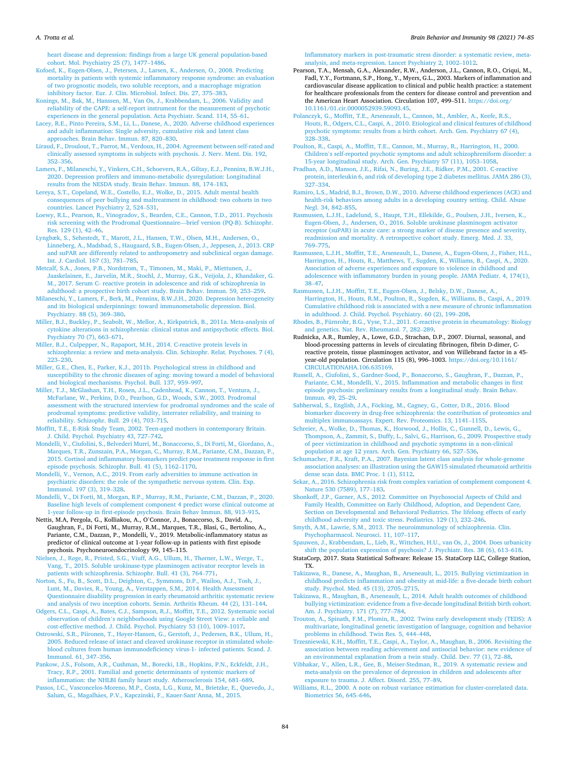#### <span id="page-10-0"></span>*A. Trotta et al.*

[heart disease and depression: findings from a large UK general population-based](http://refhub.elsevier.com/S0889-1591(21)00500-6/h0230) [cohort. Mol. Psychiatry 25 \(7\), 1477](http://refhub.elsevier.com/S0889-1591(21)00500-6/h0230)–1486.

[Kofoed, K., Eugen-Olsen, J., Petersen, J., Larsen, K., Andersen, O., 2008. Predicting](http://refhub.elsevier.com/S0889-1591(21)00500-6/h0235)  [mortality in patients with systemic inflammatory response syndrome: an evaluation](http://refhub.elsevier.com/S0889-1591(21)00500-6/h0235)  [of two prognostic models, two soluble receptors, and a macrophage migration](http://refhub.elsevier.com/S0889-1591(21)00500-6/h0235)  [inhibitory factor. Eur. J. Clin. Microbiol. Infect. Dis. 27, 375](http://refhub.elsevier.com/S0889-1591(21)00500-6/h0235)–383.

[Konings, M., Bak, M., Hanssen, M., Van Os, J., Krabbendam, L., 2006. Validity and](http://refhub.elsevier.com/S0889-1591(21)00500-6/h0240)  [reliability of the CAPE: a self-report instrument for the measurement of psychotic](http://refhub.elsevier.com/S0889-1591(21)00500-6/h0240)  [experiences in the general population. Acta Psychiatr. Scand. 114, 55](http://refhub.elsevier.com/S0889-1591(21)00500-6/h0240)–61.

[Lacey, R.E., Pinto Pereira, S.M., Li, L., Danese, A., 2020. Adverse childhood experiences](http://refhub.elsevier.com/S0889-1591(21)00500-6/h0250)  [and adult inflammation: Single adversity, cumulative risk and latent class](http://refhub.elsevier.com/S0889-1591(21)00500-6/h0250)  [approaches. Brain Behav. Immun. 87, 820](http://refhub.elsevier.com/S0889-1591(21)00500-6/h0250)–830.

[Liraud, F., Droulout, T., Parrot, M., Verdoux, H., 2004. Agreement between self-rated and](http://refhub.elsevier.com/S0889-1591(21)00500-6/h0255)  [clinically assessed symptoms in subjects with psychosis. J. Nerv. Ment. Dis. 192,](http://refhub.elsevier.com/S0889-1591(21)00500-6/h0255) 352–[356](http://refhub.elsevier.com/S0889-1591(21)00500-6/h0255).

[Lamers, F., Milaneschi, Y., Vinkers, C.H., Schoevers, R.A., Giltay, E.J., Penninx, B.W.J.H.,](http://refhub.elsevier.com/S0889-1591(21)00500-6/h0260)  [2020. Depression profilers and immuno-metabolic dysregulation: Longitudinal](http://refhub.elsevier.com/S0889-1591(21)00500-6/h0260)  [results from the NESDA study. Brain Behav. Immun. 88, 174](http://refhub.elsevier.com/S0889-1591(21)00500-6/h0260)–183.

[Lereya, S.T., Copeland, W.E., Costello, E.J., Wolke, D., 2015. Adult mental health](http://refhub.elsevier.com/S0889-1591(21)00500-6/h0265) [consequences of peer bullying and maltreatment in childhood: two cohorts in two](http://refhub.elsevier.com/S0889-1591(21)00500-6/h0265)  [countries. Lancet Psychiatry 2, 524](http://refhub.elsevier.com/S0889-1591(21)00500-6/h0265)–531.

[Loewy, R.L., Pearson, R., Vinogradov, S., Bearden, C.E., Cannon, T.D., 2011. Psychosis](http://refhub.elsevier.com/S0889-1591(21)00500-6/h0270)  [risk screening with the Prodromal Questionnaire](http://refhub.elsevier.com/S0889-1591(21)00500-6/h0270)—brief version (PQ-B). Schizophr. [Res. 129 \(1\), 42](http://refhub.elsevier.com/S0889-1591(21)00500-6/h0270)–46.

[Lyngbæk, S., Sehestedt, T., Marott, J.L., Hansen, T.W., Olsen, M.H., Andersen, O.,](http://refhub.elsevier.com/S0889-1591(21)00500-6/h0275) [Linneberg, A., Madsbad, S., Haugaard, S.B., Eugen-Olsen, J., Jeppesen, J., 2013. CRP](http://refhub.elsevier.com/S0889-1591(21)00500-6/h0275)  [and suPAR are differently related to anthropometry and subclinical organ damage.](http://refhub.elsevier.com/S0889-1591(21)00500-6/h0275)  [Int. J. Cardiol. 167 \(3\), 781](http://refhub.elsevier.com/S0889-1591(21)00500-6/h0275)–785.

[Metcalf, S.A., Jones, P.B., Nordstrom, T., Timonen, M., Maki, P., Miettunen, J.,](http://refhub.elsevier.com/S0889-1591(21)00500-6/h0280) [Jaaskelainen, E., Jarvelin, M.R., Stochl, J., Murray, G.K., Veijola, J., Khandaker, G.](http://refhub.elsevier.com/S0889-1591(21)00500-6/h0280)  [M., 2017. Serum C- reactive protein in adolescence and risk of schizophrenia in](http://refhub.elsevier.com/S0889-1591(21)00500-6/h0280) [adulthood: a prospective birth cohort study. Brain Behav. Immun. 59, 253](http://refhub.elsevier.com/S0889-1591(21)00500-6/h0280)–259.

[Milaneschi, Y., Lamers, F., Berk, M., Penninx, B.W.J.H., 2020. Depression heterogeneity](http://refhub.elsevier.com/S0889-1591(21)00500-6/h0285)  [and its biological underpinnings: toward immunometabolic depression. Biol.](http://refhub.elsevier.com/S0889-1591(21)00500-6/h0285)  [Psychiatry. 88 \(5\), 369](http://refhub.elsevier.com/S0889-1591(21)00500-6/h0285)–380.

[Miller, B.J., Buckley, P., Seabolt, W., Mellor, A., Kirkpatrick, B., 2011a. Meta-analysis of](http://refhub.elsevier.com/S0889-1591(21)00500-6/h0290)  [cytokine alterations in schizophrenia: clinical status and antipsychotic effects. Biol.](http://refhub.elsevier.com/S0889-1591(21)00500-6/h0290)  [Psychiatry 70 \(7\), 663](http://refhub.elsevier.com/S0889-1591(21)00500-6/h0290)–671.

[Miller, B.J., Culpepper, N., Rapaport, M.H., 2014. C-reactive protein levels in](http://refhub.elsevier.com/S0889-1591(21)00500-6/h0295)  [schizophrenia: a review and meta-analysis. Clin. Schizophr. Relat. Psychoses. 7 \(4\),](http://refhub.elsevier.com/S0889-1591(21)00500-6/h0295)  223–[230](http://refhub.elsevier.com/S0889-1591(21)00500-6/h0295).

[Miller, G.E., Chen, E., Parker, K.J., 2011b. Psychological stress in childhood and](http://refhub.elsevier.com/S0889-1591(21)00500-6/h0300) [susceptibility to the chronic diseases of aging: moving toward a model of behavioral](http://refhub.elsevier.com/S0889-1591(21)00500-6/h0300)  [and biological mechanisms. Psychol. Bull. 137, 959](http://refhub.elsevier.com/S0889-1591(21)00500-6/h0300)–997.

[Miller, T.J., McGlashan, T.H., Rosen, J.L., Cadenhead, K., Cannon, T., Ventura, J.,](http://refhub.elsevier.com/S0889-1591(21)00500-6/h0305)  [McFarlane, W., Perkins, D.O., Pearlson, G.D., Woods, S.W., 2003. Prodromal](http://refhub.elsevier.com/S0889-1591(21)00500-6/h0305)  [assessment with the structured interview for prodromal syndromes and the scale of](http://refhub.elsevier.com/S0889-1591(21)00500-6/h0305)  [prodromal symptoms: predictive validity, interrater reliability, and training to](http://refhub.elsevier.com/S0889-1591(21)00500-6/h0305)  [reliability. Schizophr. Bull. 29 \(4\), 703](http://refhub.elsevier.com/S0889-1591(21)00500-6/h0305)–715.

[Moffitt, T.E., E-Risk Study Team, 2002. Teen-aged mothers in contemporary Britain.](http://refhub.elsevier.com/S0889-1591(21)00500-6/h0310) [J. Child. Psychol. Psychiatry 43, 727](http://refhub.elsevier.com/S0889-1591(21)00500-6/h0310)–742.

[Mondelli, V., Ciufolini, S., Belvederi Murri, M., Bonaccorso, S., Di Forti, M., Giordano, A.,](http://refhub.elsevier.com/S0889-1591(21)00500-6/h0315)  [Marques, T.R., Zunszain, P.A., Morgan, C., Murray, R.M., Pariante, C.M., Dazzan, P.,](http://refhub.elsevier.com/S0889-1591(21)00500-6/h0315)  [2015. Cortisol and inflammatory biomarkers predict poor treatment response in first](http://refhub.elsevier.com/S0889-1591(21)00500-6/h0315)  [episode psychosis. Schizophr. Bull. 41 \(5\), 1162](http://refhub.elsevier.com/S0889-1591(21)00500-6/h0315)–1170.

[Mondelli, V., Vernon, A.C., 2019. From early adversities to immune activation in](http://refhub.elsevier.com/S0889-1591(21)00500-6/h0320) [psychiatric disorders: the role of the sympathetic nervous system. Clin. Exp.](http://refhub.elsevier.com/S0889-1591(21)00500-6/h0320)  [Immunol. 197 \(3\), 319](http://refhub.elsevier.com/S0889-1591(21)00500-6/h0320)–328.

[Mondelli, V., Di Forti, M., Morgan, B.P., Murray, R.M., Pariante, C.M., Dazzan, P., 2020.](http://refhub.elsevier.com/S0889-1591(21)00500-6/h0325)  [Baseline high levels of complement component 4 predict worse clinical outcome at](http://refhub.elsevier.com/S0889-1591(21)00500-6/h0325)  [1-year follow-up in first-episode psychosis. Brain Behav Immun. 88, 913](http://refhub.elsevier.com/S0889-1591(21)00500-6/h0325)–915.

Nettis, M.A, Pergola, G., Kolliakou, A., O'Connor, J., Bonaccorso, S., David. A., Gaughran, F., Di Forti, M., Murray, R.M., Marques, T.R., Blasi, G., Bertolino, A., Pariante, C.M., Dazzan, P., Mondelli, V., 2019. Metabolic-inflammatory status as predictor of clinical outcome at 1-year follow-up in patients with first episode psychosis. Psychoneuroendocrinology 99, 145–115.

Nielsen, J., Rø[ge, R., Pristed, S.G., Viuff, A.G., Ullum, H., Th](http://refhub.elsevier.com/S0889-1591(21)00500-6/h0335)ørner, L.W., Werge, T., [Vang, T., 2015. Soluble urokinase-type plasminogen activator receptor levels in](http://refhub.elsevier.com/S0889-1591(21)00500-6/h0335)  [patients with schizophrenia. Schizophr. Bull. 41 \(3\), 764](http://refhub.elsevier.com/S0889-1591(21)00500-6/h0335)–771.

[Norton, S., Fu, B., Scott, D.L., Deighton, C., Symmons, D.P., Wailoo, A.J., Tosh, J.,](http://refhub.elsevier.com/S0889-1591(21)00500-6/h0340) [Lunt, M., Davies, R., Young, A., Verstappen, S.M., 2014. Health Assessment](http://refhub.elsevier.com/S0889-1591(21)00500-6/h0340)  [Questionnaire disability progression in early rheumatoid arthritis: systematic review](http://refhub.elsevier.com/S0889-1591(21)00500-6/h0340)  [and analysis of two inception cohorts. Semin. Arthritis Rheum. 44 \(2\), 131](http://refhub.elsevier.com/S0889-1591(21)00500-6/h0340)–144.

[Odgers, C.L., Caspi, A., Bates, C.J., Sampson, R.J., Moffitt, T.E., 2012. Systematic social](http://refhub.elsevier.com/S0889-1591(21)00500-6/h0345)  observation of children'[s neighborhoods using Google Street View: a reliable and](http://refhub.elsevier.com/S0889-1591(21)00500-6/h0345) [cost-effective method. J. Child. Psychol. Psychiatry 53 \(10\), 1009](http://refhub.elsevier.com/S0889-1591(21)00500-6/h0345)–1017.

Ostrowski, S.R., Piironen, T., Hø[yer-Hansen, G., Gerstoft, J., Pedersen, B.K., Ullum, H.,](http://refhub.elsevier.com/S0889-1591(21)00500-6/h0350) [2005. Reduced release of intact and cleaved urokinase receptor in stimulated whole](http://refhub.elsevier.com/S0889-1591(21)00500-6/h0350)[blood cultures from human immunodeficiency virus-1- infected patients. Scand. J.](http://refhub.elsevier.com/S0889-1591(21)00500-6/h0350) [Immunol. 61, 347](http://refhub.elsevier.com/S0889-1591(21)00500-6/h0350)–356.

[Pankow, J.S., Folsom, A.R., Cushman, M., Borecki, I.B., Hopkins, P.N., Eckfeldt, J.H.,](http://refhub.elsevier.com/S0889-1591(21)00500-6/h0355)  [Tracy, R.P., 2001. Familial and genetic determinants of systemic markers of](http://refhub.elsevier.com/S0889-1591(21)00500-6/h0355)  [inflammation: the NHLBI family heart study. Atherosclerosis 154, 681](http://refhub.elsevier.com/S0889-1591(21)00500-6/h0355)–689.

[Passos, I.C., Vasconcelos-Moreno, M.P., Costa, L.G., Kunz, M., Brietzke, E., Quevedo, J.,](http://refhub.elsevier.com/S0889-1591(21)00500-6/h0360)  Salum, G., Magalhães, P.V., Kapczinski, F., Kauer-Sant'Anna, M., 2015.

[Inflammatory markers in post-traumatic stress disorder: a systematic review, meta](http://refhub.elsevier.com/S0889-1591(21)00500-6/h0360)[analysis, and meta-regression. Lancet Psychiatry 2, 1002](http://refhub.elsevier.com/S0889-1591(21)00500-6/h0360)–1012.

Pearson, T.A., Mensah, G.A., Alexander, R.W., Anderson, J.L., Cannon, R.O., Criqui, M., Fadl, Y.Y., Fortmann, S.P., Hong, Y., Myers, G.L., 2003. Markers of inflammation and cardiovascular disease application to clinical and public health practice: a statement for healthcare professionals from the centers for disease control and prevention and the American Heart Association. Circulation 107, 499–511. https://doi.org/ [10.1161/01.cir.0000052939.59093.45.](https://doi.org/10.1161/01.cir.0000052939.59093.45)

[Polanczyk, G., Moffitt, T.E., Arseneault, L., Cannon, M., Ambler, A., Keefe, R.S.,](http://refhub.elsevier.com/S0889-1591(21)00500-6/h0365) [Houts, R., Odgers, C.L., Caspi, A., 2010. Etiological and clinical features of childhood](http://refhub.elsevier.com/S0889-1591(21)00500-6/h0365)  [psychotic symptoms: results from a birth cohort. Arch. Gen. Psychiatry 67 \(4\),](http://refhub.elsevier.com/S0889-1591(21)00500-6/h0365)  328–[338](http://refhub.elsevier.com/S0889-1591(21)00500-6/h0365).

[Poulton, R., Caspi, A., Moffitt, T.E., Cannon, M., Murray, R., Harrington, H., 2000.](http://refhub.elsevier.com/S0889-1591(21)00500-6/h0370)  Children'[s self-reported psychotic symptoms and adult schizophreniform disorder: a](http://refhub.elsevier.com/S0889-1591(21)00500-6/h0370)  [15-year longitudinal study. Arch. Gen. Psychiatry 57 \(11\), 1053](http://refhub.elsevier.com/S0889-1591(21)00500-6/h0370)–1058.

[Pradhan, A.D., Manson, J.E., Rifai, N., Buring, J.E., Ridker, P.M., 2001. C-reactive](http://refhub.elsevier.com/S0889-1591(21)00500-6/h0375) [protein, interleukin 6, and risk of developing type 2 diabetes mellitus. JAMA 286 \(3\),](http://refhub.elsevier.com/S0889-1591(21)00500-6/h0375)  327–[334](http://refhub.elsevier.com/S0889-1591(21)00500-6/h0375).

[Ramiro, L.S., Madrid, B.J., Brown, D.W., 2010. Adverse childhood experiences \(ACE\) and](http://refhub.elsevier.com/S0889-1591(21)00500-6/h0380)  [health-risk behaviors among adults in a developing country setting. Child. Abuse](http://refhub.elsevier.com/S0889-1591(21)00500-6/h0380)  [Negl. 34, 842](http://refhub.elsevier.com/S0889-1591(21)00500-6/h0380)–855.

[Rasmussen, L.J.H., Ladelund, S., Haupt, T.H., Ellekilde, G., Poulsen, J.H., Iversen, K.,](http://refhub.elsevier.com/S0889-1591(21)00500-6/h0385)  [Eugen-Olsen, J., Andersen, O., 2016. Soluble urokinase plasminogen activator](http://refhub.elsevier.com/S0889-1591(21)00500-6/h0385) [receptor \(suPAR\) in acute care: a strong marker of disease presence and severity,](http://refhub.elsevier.com/S0889-1591(21)00500-6/h0385) [readmission and mortality. A retrospective cohort study. Emerg. Med. J. 33,](http://refhub.elsevier.com/S0889-1591(21)00500-6/h0385) 769–[775](http://refhub.elsevier.com/S0889-1591(21)00500-6/h0385).

[Rasmussen, L.J.H., Moffitt, T.E., Arseneault, L., Danese, A., Eugen-Olsen, J., Fisher, H.L.,](http://refhub.elsevier.com/S0889-1591(21)00500-6/h0390)  [Harrington, H., Houts, R., Matthews, T., Sugden, K., Williams, B., Caspi, A., 2020.](http://refhub.elsevier.com/S0889-1591(21)00500-6/h0390) [Association of adverse experiences and exposure to violence in childhood and](http://refhub.elsevier.com/S0889-1591(21)00500-6/h0390)  [adolescence with inflammatory burden in young people. JAMA Pediatr. 4, 174\(1\),](http://refhub.elsevier.com/S0889-1591(21)00500-6/h0390)  38–[47](http://refhub.elsevier.com/S0889-1591(21)00500-6/h0390).

[Rasmussen, L.J.H., Moffitt, T.E., Eugen-Olsen, J., Belsky, D.W., Danese, A.,](http://refhub.elsevier.com/S0889-1591(21)00500-6/h0395)  [Harrington, H., Houts, R.M., Poulton, R., Sugden, K., Williams, B., Caspi, A., 2019.](http://refhub.elsevier.com/S0889-1591(21)00500-6/h0395) [Cumulative childhood risk is associated with a new measure of chronic inflammation](http://refhub.elsevier.com/S0889-1591(21)00500-6/h0395)  [in adulthood. J. Child. Psychol. Psychiatry. 60 \(2\), 199](http://refhub.elsevier.com/S0889-1591(21)00500-6/h0395)–208.

[Rhodes, B., Fürnrohr, B.G., Vyse, T.J., 2011. C-reactive protein in rheumatology: Biology](http://refhub.elsevier.com/S0889-1591(21)00500-6/h0400)  [and genetics. Nat. Rev. Rheumatol. 7, 282](http://refhub.elsevier.com/S0889-1591(21)00500-6/h0400)–289.

Rudnicka, A.R., Rumley, A., Lowe, G.D., Strachan, D.P., 2007. Diurnal, seasonal, and blood-processing patterns in levels of circulating fibrinogen, fibrin D-dimer, Creactive protein, tissue plasminogen activator, and von Willebrand factor in a 45 year-old population. Circulation 115 (8), 996–1003. [https://doi.org/10.1161/](https://doi.org/10.1161/CIRCULATIONAHA.106.635169) [CIRCULATIONAHA.106.635169](https://doi.org/10.1161/CIRCULATIONAHA.106.635169).

[Russell, A., Ciufolini, S., Gardner-Sood, P., Bonaccorso, S., Gaughran, F., Dazzan, P.,](http://refhub.elsevier.com/S0889-1591(21)00500-6/h0405) [Pariante, C.M., Mondelli, V., 2015. Inflammation and metabolic changes in first](http://refhub.elsevier.com/S0889-1591(21)00500-6/h0405)  [episode psychosis: preliminary results from a longitudinal study. Brain Behav.](http://refhub.elsevier.com/S0889-1591(21)00500-6/h0405) [Immun. 49, 25](http://refhub.elsevier.com/S0889-1591(21)00500-6/h0405)–29.

Sabherwal, S., English, J.A., Föcking, M., Cagney, G., Cotter, D.R., 2016. Blood [biomarker discovery in drug-free schizophrenia: the contribution of proteomics and](http://refhub.elsevier.com/S0889-1591(21)00500-6/h0410)  [multiplex immunoassays. Expert. Rev. Proteomics. 13, 1141](http://refhub.elsevier.com/S0889-1591(21)00500-6/h0410)–1155.

Schreier, A., Wolke, D., Thomas, K., Horwood, J., Hollis, C., Gunnell, D., Lewis, G. [Thompson, A., Zammit, S., Duffy, L., Salvi, G., Harrison, G., 2009. Prospective study](http://refhub.elsevier.com/S0889-1591(21)00500-6/h0415)  [of peer victimization in childhood and psychotic symptoms in a non-clinical](http://refhub.elsevier.com/S0889-1591(21)00500-6/h0415)

[population at age 12 years. Arch. Gen. Psychiatry 66, 527](http://refhub.elsevier.com/S0889-1591(21)00500-6/h0415)–536. [Schumacher, F.R., Kraft, P.A., 2007. Bayesian latent class analysis for whole-genome](http://refhub.elsevier.com/S0889-1591(21)00500-6/h0420) [association analyses: an illustration using the GAW15 simulated rheumatoid arthritis](http://refhub.elsevier.com/S0889-1591(21)00500-6/h0420)  [dense scan data. BMC Proc. 1 \(1\), S112.](http://refhub.elsevier.com/S0889-1591(21)00500-6/h0420)

[Sekar, A., 2016. Schizophrenia risk from complex variation of complement component 4.](http://refhub.elsevier.com/S0889-1591(21)00500-6/h0425)  [Nature 530 \(7589\), 177](http://refhub.elsevier.com/S0889-1591(21)00500-6/h0425)–183.

[Shonkoff, J.P., Garner, A.S., 2012. Committee on Psychosocial Aspects of Child and](http://refhub.elsevier.com/S0889-1591(21)00500-6/h0430) [Family Health, Committee on Early Childhood, Adoption, and Dependent Care,](http://refhub.elsevier.com/S0889-1591(21)00500-6/h0430)  [Section on Developmental and Behavioral Pediatrics. The lifelong effects of early](http://refhub.elsevier.com/S0889-1591(21)00500-6/h0430)  [childhood adversity and toxic stress. Pediatrics. 129 \(1\), 232](http://refhub.elsevier.com/S0889-1591(21)00500-6/h0430)–246.

[Smyth, A.M., Lawrie, S.M., 2013. The neuroimmunology of schizophrenia. Clin.](http://refhub.elsevier.com/S0889-1591(21)00500-6/h0435) [Psychopharmacol. Neurosci. 11, 107](http://refhub.elsevier.com/S0889-1591(21)00500-6/h0435)–117.

[Spauwen, J., Krabbendam, L., Lieb, R., Wittchen, H.U., van Os, J., 2004. Does urbanicity](http://refhub.elsevier.com/S0889-1591(21)00500-6/h0440)  [shift the population expression of psychosis? J. Psychiatr. Res. 38 \(6\), 613](http://refhub.elsevier.com/S0889-1591(21)00500-6/h0440)–618.

StataCorp, 2017. Stata Statistical Software: Release 15. StataCorp LLC, College Station, TX.

[Takizawa, R., Danese, A., Maughan, B., Arseneault, L., 2015. Bullying victimization in](http://refhub.elsevier.com/S0889-1591(21)00500-6/h0450)  [childhood predicts inflammation and obesity at mid-life: a five-decade birth cohort](http://refhub.elsevier.com/S0889-1591(21)00500-6/h0450)  [study. Psychol. Med. 45 \(13\), 2705](http://refhub.elsevier.com/S0889-1591(21)00500-6/h0450)–2715.

[Takizawa, R., Maughan, B., Arseneault, L., 2014. Adult health outcomes of childhood](http://refhub.elsevier.com/S0889-1591(21)00500-6/h0455)  [bullying victimization: evidence from a five-decade longitudinal British birth cohort.](http://refhub.elsevier.com/S0889-1591(21)00500-6/h0455)  [Am. J. Psychiatry. 171 \(7\), 777](http://refhub.elsevier.com/S0889-1591(21)00500-6/h0455)–784.

[Trouton, A., Spinath, F.M., Plomin, R., 2002. Twins early development study \(TEDS\): A](http://refhub.elsevier.com/S0889-1591(21)00500-6/h0460)  [multivariate, longitudinal genetic investigation of language, cognition and behavior](http://refhub.elsevier.com/S0889-1591(21)00500-6/h0460)  [problems in childhood. Twin Res. 5, 444](http://refhub.elsevier.com/S0889-1591(21)00500-6/h0460)–448.

[Trzesniewski, K.H., Moffitt, T.E., Caspi, A., Taylor, A., Maughan, B., 2006. Revisiting the](http://refhub.elsevier.com/S0889-1591(21)00500-6/h0465)  [association between reading achievement and antisocial behavior: new evidence of](http://refhub.elsevier.com/S0889-1591(21)00500-6/h0465)  [an environmental explanation from a twin study. Child. Dev. 77 \(1\), 72](http://refhub.elsevier.com/S0889-1591(21)00500-6/h0465)–88.

[Vibhakar, V., Allen, L.R., Gee, B., Meiser-Stedman, R., 2019. A systematic review and](http://refhub.elsevier.com/S0889-1591(21)00500-6/h0470) [meta-analysis on the prevalence of depression in children and adolescents after](http://refhub.elsevier.com/S0889-1591(21)00500-6/h0470)  [exposure to trauma. J. Affect. Disord. 255, 77](http://refhub.elsevier.com/S0889-1591(21)00500-6/h0470)–89.

[Williams, R.L., 2000. A note on robust variance estimation for cluster-correlated data.](http://refhub.elsevier.com/S0889-1591(21)00500-6/h0475) [Biometrics 56, 645](http://refhub.elsevier.com/S0889-1591(21)00500-6/h0475)–646.